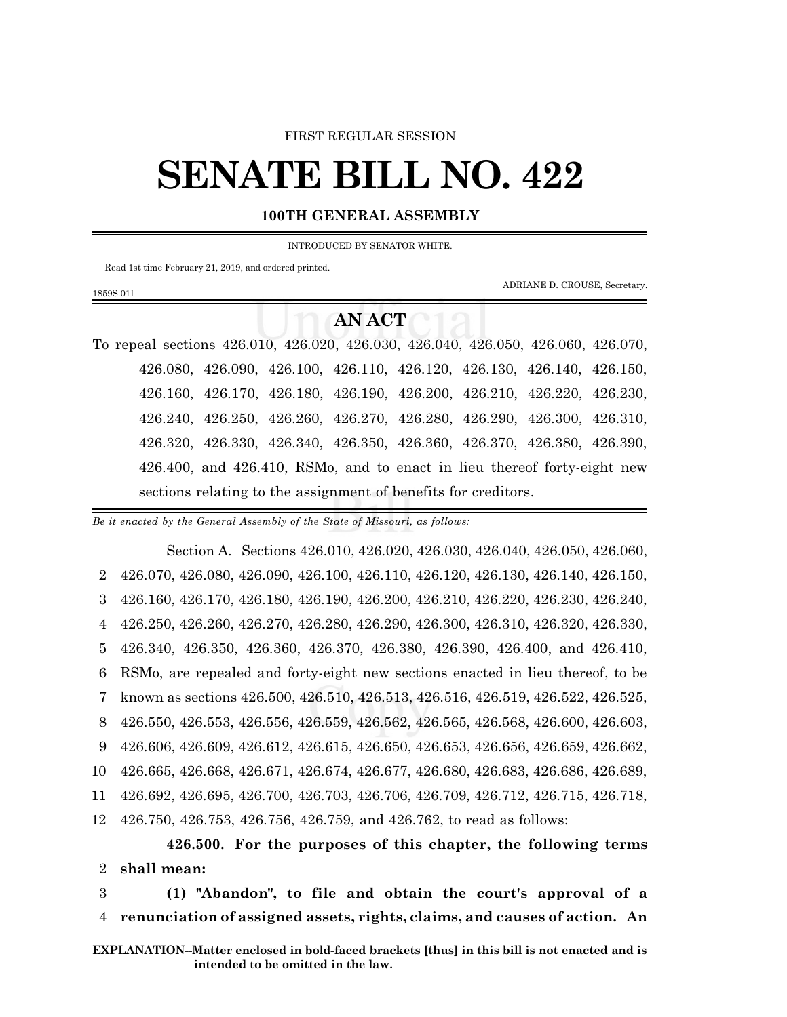## FIRST REGULAR SESSION

## **SENATE BILL NO. 422**

## **100TH GENERAL ASSEMBLY**

INTRODUCED BY SENATOR WHITE.

Read 1st time February 21, 2019, and ordered printed.

1859S.01I

ADRIANE D. CROUSE, Secretary.

## **AN ACT**

To repeal sections 426.010, 426.020, 426.030, 426.040, 426.050, 426.060, 426.070, 426.080, 426.090, 426.100, 426.110, 426.120, 426.130, 426.140, 426.150, 426.160, 426.170, 426.180, 426.190, 426.200, 426.210, 426.220, 426.230, 426.240, 426.250, 426.260, 426.270, 426.280, 426.290, 426.300, 426.310, 426.320, 426.330, 426.340, 426.350, 426.360, 426.370, 426.380, 426.390, 426.400, and 426.410, RSMo, and to enact in lieu thereof forty-eight new sections relating to the assignment of benefits for creditors.

*Be it enacted by the General Assembly of the State of Missouri, as follows:*

Section A. Sections 426.010, 426.020, 426.030, 426.040, 426.050, 426.060, 426.070, 426.080, 426.090, 426.100, 426.110, 426.120, 426.130, 426.140, 426.150, 426.160, 426.170, 426.180, 426.190, 426.200, 426.210, 426.220, 426.230, 426.240, 426.250, 426.260, 426.270, 426.280, 426.290, 426.300, 426.310, 426.320, 426.330, 426.340, 426.350, 426.360, 426.370, 426.380, 426.390, 426.400, and 426.410, RSMo, are repealed and forty-eight new sections enacted in lieu thereof, to be known as sections 426.500, 426.510, 426.513, 426.516, 426.519, 426.522, 426.525, 426.550, 426.553, 426.556, 426.559, 426.562, 426.565, 426.568, 426.600, 426.603, 426.606, 426.609, 426.612, 426.615, 426.650, 426.653, 426.656, 426.659, 426.662, 426.665, 426.668, 426.671, 426.674, 426.677, 426.680, 426.683, 426.686, 426.689, 426.692, 426.695, 426.700, 426.703, 426.706, 426.709, 426.712, 426.715, 426.718, 426.750, 426.753, 426.756, 426.759, and 426.762, to read as follows:

**426.500. For the purposes of this chapter, the following terms** 2 **shall mean:**

3 **(1) "Abandon", to file and obtain the court's approval of a** 4 **renunciation of assigned assets, rights, claims, and causes of action. An**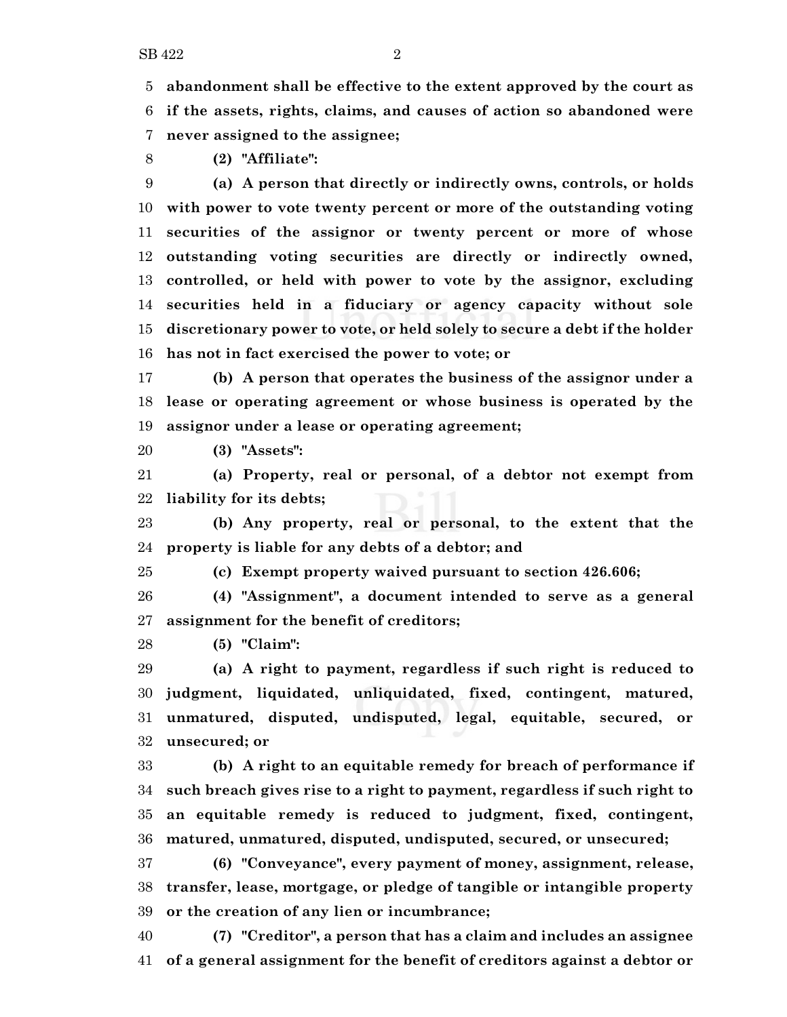**abandonment shall be effective to the extent approved by the court as if the assets, rights, claims, and causes of action so abandoned were never assigned to the assignee;**

**(2) "Affiliate":**

 **(a) A person that directly or indirectly owns, controls, or holds with power to vote twenty percent or more of the outstanding voting securities of the assignor or twenty percent or more of whose outstanding voting securities are directly or indirectly owned, controlled, or held with power to vote by the assignor, excluding securities held in a fiduciary or agency capacity without sole discretionary power to vote, or held solely to secure a debt if the holder has not in fact exercised the power to vote; or**

 **(b) A person that operates the business of the assignor under a lease or operating agreement or whose business is operated by the assignor under a lease or operating agreement;**

**(3) "Assets":**

 **(a) Property, real or personal, of a debtor not exempt from liability for its debts;**

 **(b) Any property, real or personal, to the extent that the property is liable for any debts of a debtor; and**

**(c) Exempt property waived pursuant to section 426.606;**

 **(4) "Assignment", a document intended to serve as a general assignment for the benefit of creditors;**

**(5) "Claim":**

 **(a) A right to payment, regardless if such right is reduced to judgment, liquidated, unliquidated, fixed, contingent, matured, unmatured, disputed, undisputed, legal, equitable, secured, or unsecured; or**

 **(b) A right to an equitable remedy for breach of performance if such breach gives rise to a right to payment, regardless if such right to an equitable remedy is reduced to judgment, fixed, contingent, matured, unmatured, disputed, undisputed, secured, or unsecured;**

 **(6) "Conveyance", every payment of money, assignment, release, transfer, lease, mortgage, or pledge of tangible or intangible property or the creation of any lien or incumbrance;**

 **(7) "Creditor", a person that has a claim and includes an assignee of a general assignment for the benefit of creditors against a debtor or**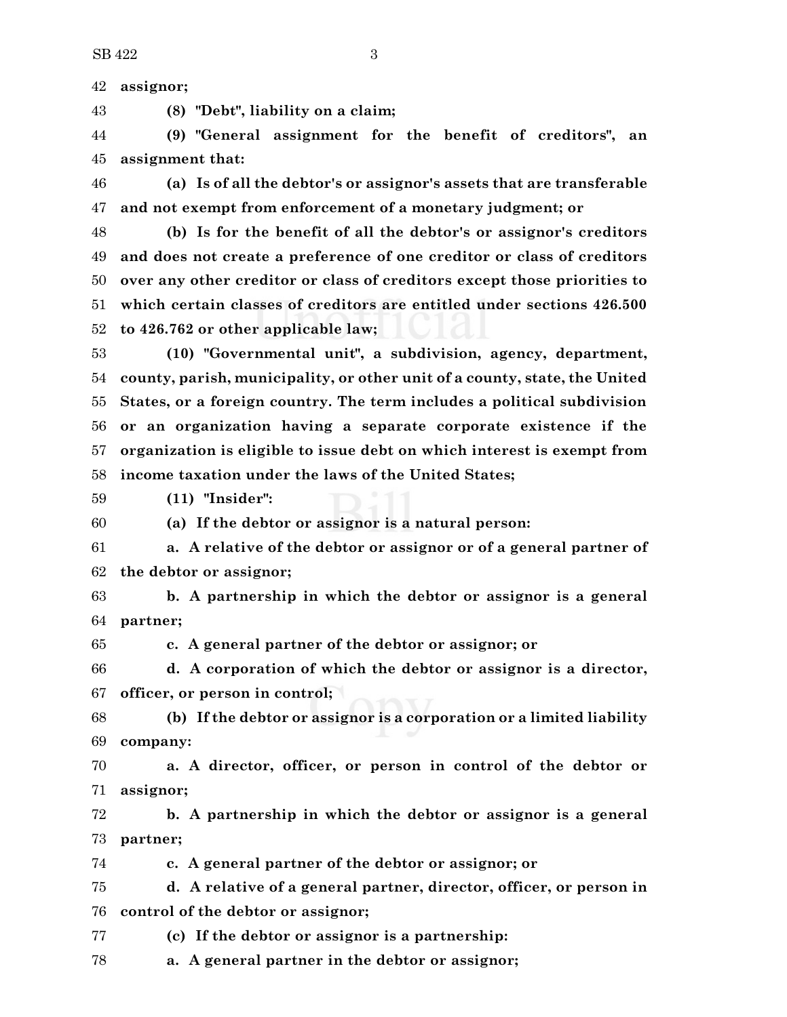**assignor;**

**(8) "Debt", liability on a claim;**

 **(9) "General assignment for the benefit of creditors", an assignment that:**

 **(a) Is of all the debtor's or assignor's assets that are transferable and not exempt from enforcement of a monetary judgment; or**

 **(b) Is for the benefit of all the debtor's or assignor's creditors and does not create a preference of one creditor or class of creditors over any other creditor or class of creditors except those priorities to which certain classes of creditors are entitled under sections 426.500 to 426.762 or other applicable law;**

 **(10) "Governmental unit", a subdivision, agency, department, county, parish, municipality, or other unit of a county, state, the United States, or a foreign country. The term includes a political subdivision or an organization having a separate corporate existence if the organization is eligible to issue debt on which interest is exempt from income taxation under the laws of the United States;**

**(11) "Insider":**

**(a) If the debtor or assignor is a natural person:**

 **a. A relative of the debtor or assignor or of a general partner of the debtor or assignor;**

 **b. A partnership in which the debtor or assignor is a general partner;**

**c. A general partner of the debtor or assignor; or**

 **d. A corporation of which the debtor or assignor is a director, officer, or person in control;**

 **(b) If the debtor or assignor is a corporation or a limited liability company:**

 **a. A director, officer, or person in control of the debtor or assignor;**

 **b. A partnership in which the debtor or assignor is a general partner;**

**c. A general partner of the debtor or assignor; or**

 **d. A relative of a general partner, director, officer, or person in control of the debtor or assignor;**

**(c) If the debtor or assignor is a partnership:**

**a. A general partner in the debtor or assignor;**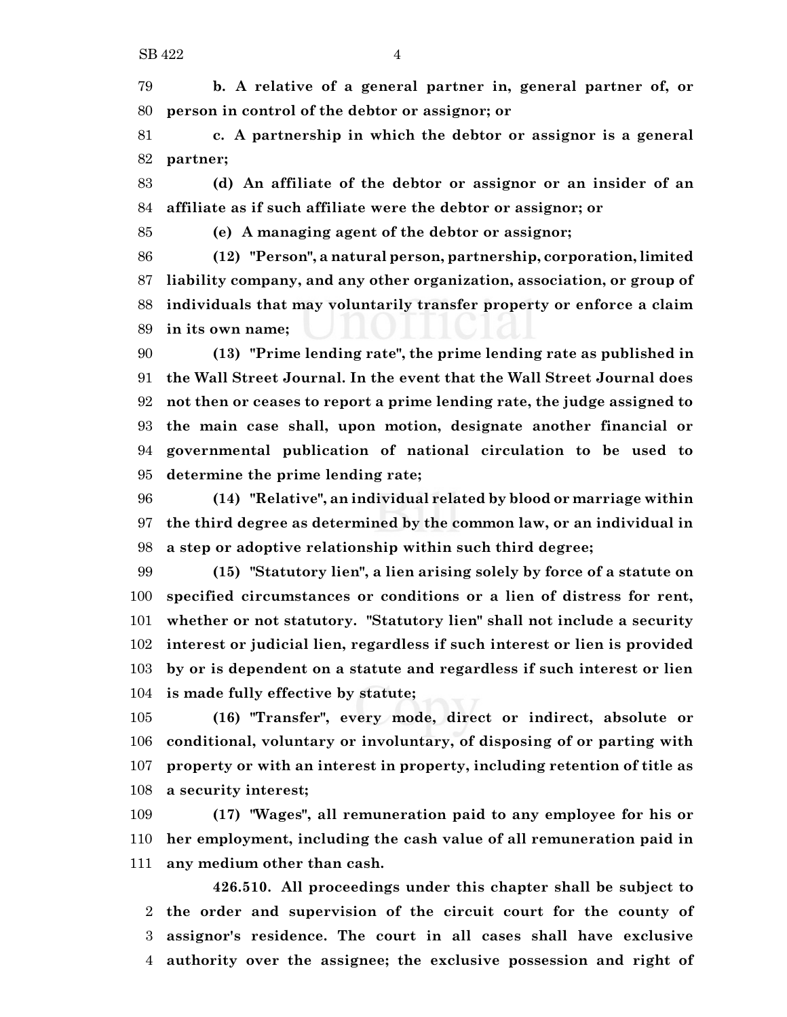**b. A relative of a general partner in, general partner of, or person in control of the debtor or assignor; or**

 **c. A partnership in which the debtor or assignor is a general partner;**

 **(d) An affiliate of the debtor or assignor or an insider of an affiliate as if such affiliate were the debtor or assignor; or**

**(e) A managing agent of the debtor or assignor;**

 **(12) "Person", a natural person, partnership, corporation, limited liability company, and any other organization, association, or group of individuals that may voluntarily transfer property or enforce a claim in its own name;**

 **(13) "Prime lending rate", the prime lending rate as published in the Wall Street Journal. In the event that the Wall Street Journal does not then or ceases to report a prime lending rate, the judge assigned to the main case shall, upon motion, designate another financial or governmental publication of national circulation to be used to determine the prime lending rate;**

 **(14) "Relative", an individual related by blood or marriage within the third degree as determined by the common law, or an individual in a step or adoptive relationship within such third degree;**

 **(15) "Statutory lien", a lien arising solely by force of a statute on specified circumstances or conditions or a lien of distress for rent, whether or not statutory. "Statutory lien" shall not include a security interest or judicial lien, regardless if such interest or lien is provided by or is dependent on a statute and regardless if such interest or lien is made fully effective by statute;**

 **(16) "Transfer", every mode, direct or indirect, absolute or conditional, voluntary or involuntary, of disposing of or parting with property or with an interest in property, including retention of title as a security interest;**

 **(17) "Wages", all remuneration paid to any employee for his or her employment, including the cash value of all remuneration paid in any medium other than cash.**

**426.510. All proceedings under this chapter shall be subject to the order and supervision of the circuit court for the county of assignor's residence. The court in all cases shall have exclusive authority over the assignee; the exclusive possession and right of**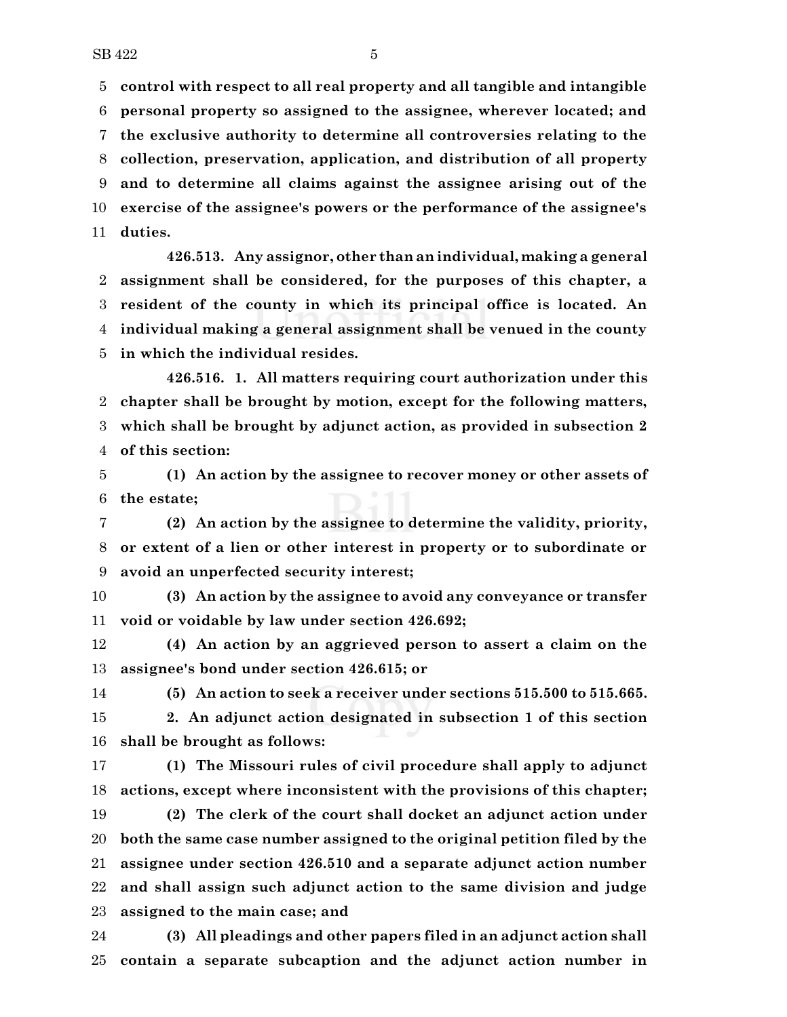**control with respect to all real property and all tangible and intangible personal property so assigned to the assignee, wherever located; and the exclusive authority to determine all controversies relating to the collection, preservation, application, and distribution of all property and to determine all claims against the assignee arising out of the exercise of the assignee's powers or the performance of the assignee's duties.**

**426.513. Any assignor, other than an individual, making a general assignment shall be considered, for the purposes of this chapter, a resident of the county in which its principal office is located. An individual making a general assignment shall be venued in the county in which the individual resides.**

**426.516. 1. All matters requiring court authorization under this chapter shall be brought by motion, except for the following matters, which shall be brought by adjunct action, as provided in subsection 2 of this section:**

 **(1) An action by the assignee to recover money or other assets of the estate;**

 **(2) An action by the assignee to determine the validity, priority, or extent of a lien or other interest in property or to subordinate or avoid an unperfected security interest;**

 **(3) An action by the assignee to avoid any conveyance or transfer void or voidable by law under section 426.692;**

 **(4) An action by an aggrieved person to assert a claim on the assignee's bond under section 426.615; or**

**(5) An action to seek a receiver under sections 515.500 to 515.665.**

 **2. An adjunct action designated in subsection 1 of this section shall be brought as follows:**

 **(1) The Missouri rules of civil procedure shall apply to adjunct actions, except where inconsistent with the provisions of this chapter;**

 **(2) The clerk of the court shall docket an adjunct action under both the same case number assigned to the original petition filed by the assignee under section 426.510 and a separate adjunct action number and shall assign such adjunct action to the same division and judge assigned to the main case; and**

 **(3) All pleadings and other papers filed in an adjunct action shall contain a separate subcaption and the adjunct action number in**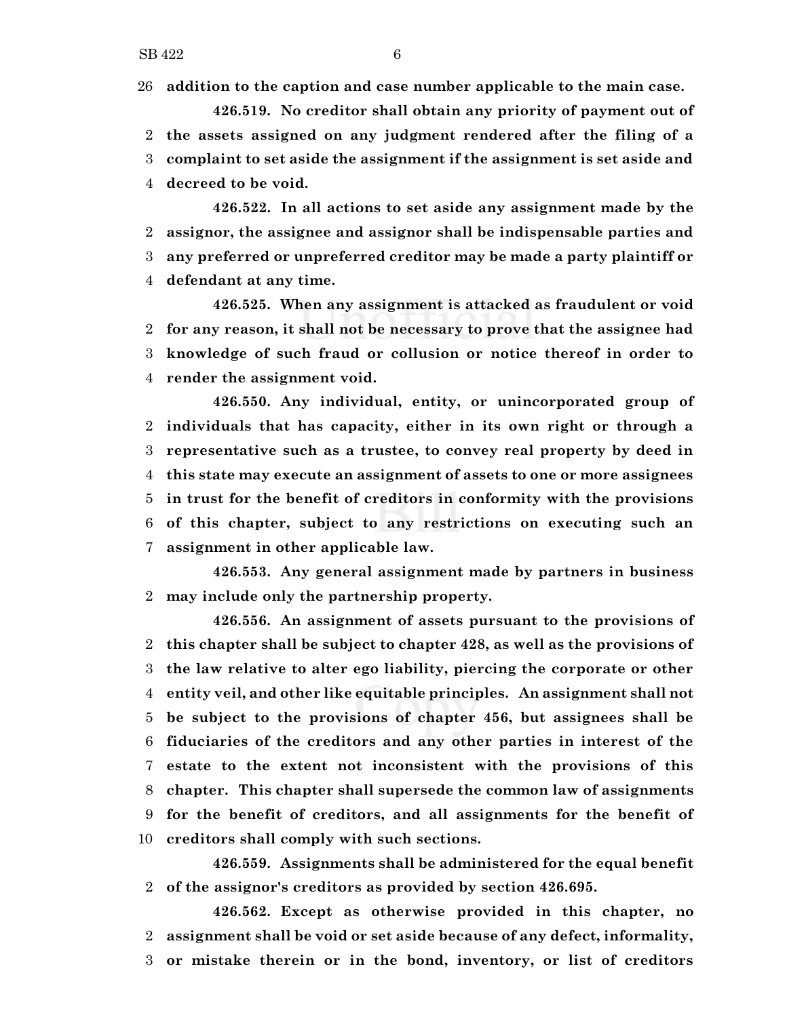**addition to the caption and case number applicable to the main case.**

- **426.519. No creditor shall obtain any priority of payment out of the assets assigned on any judgment rendered after the filing of a complaint to set aside the assignment if the assignment is set aside and decreed to be void.**
- **426.522. In all actions to set aside any assignment made by the assignor, the assignee and assignor shall be indispensable parties and any preferred or unpreferred creditor may be made a party plaintiff or defendant at any time.**

**426.525. When any assignment is attacked as fraudulent or void for any reason, it shall not be necessary to prove that the assignee had knowledge of such fraud or collusion or notice thereof in order to render the assignment void.**

**426.550. Any individual, entity, or unincorporated group of individuals that has capacity, either in its own right or through a representative such as a trustee, to convey real property by deed in this state may execute an assignment of assets to one or more assignees in trust for the benefit of creditors in conformity with the provisions of this chapter, subject to any restrictions on executing such an assignment in other applicable law.**

**426.553. Any general assignment made by partners in business may include only the partnership property.**

**426.556. An assignment of assets pursuant to the provisions of this chapter shall be subject to chapter 428, as well as the provisions of the law relative to alter ego liability, piercing the corporate or other entity veil, and other like equitable principles. An assignment shall not be subject to the provisions of chapter 456, but assignees shall be fiduciaries of the creditors and any other parties in interest of the estate to the extent not inconsistent with the provisions of this chapter. This chapter shall supersede the common law of assignments for the benefit of creditors, and all assignments for the benefit of creditors shall comply with such sections.**

**426.559. Assignments shall be administered for the equal benefit of the assignor's creditors as provided by section 426.695.**

**426.562. Except as otherwise provided in this chapter, no assignment shall be void or set aside because of any defect, informality, or mistake therein or in the bond, inventory, or list of creditors**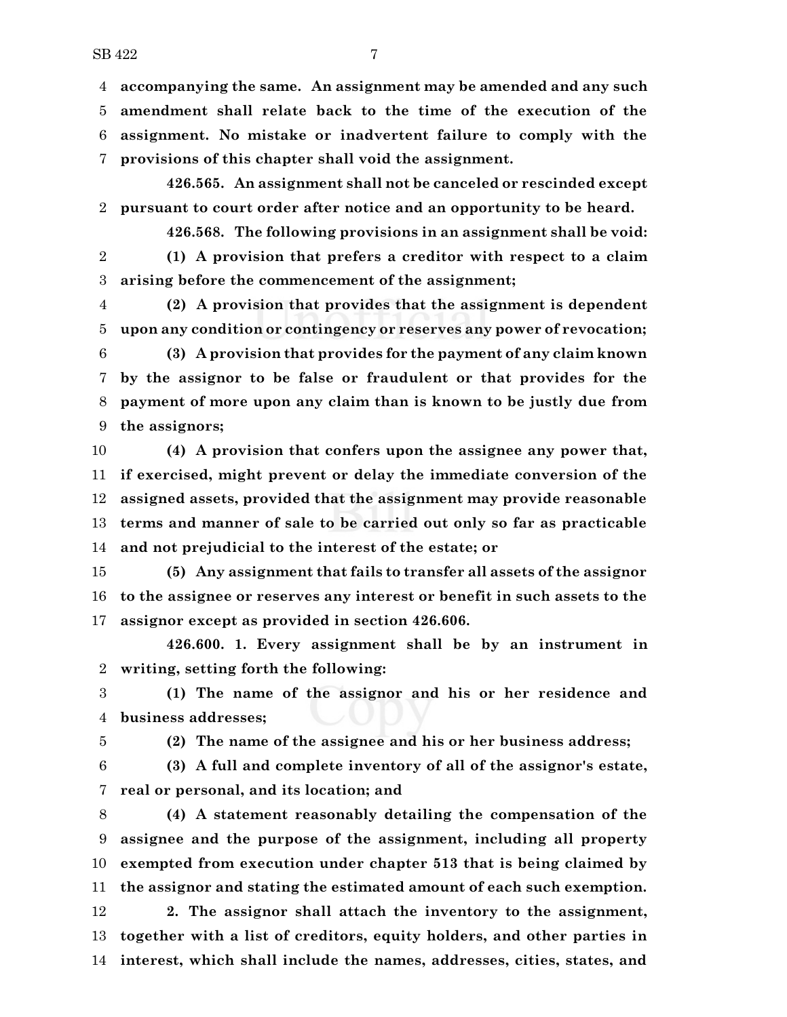$SB\,422$   $7$ 

 **accompanying the same. An assignment may be amended and any such amendment shall relate back to the time of the execution of the assignment. No mistake or inadvertent failure to comply with the provisions of this chapter shall void the assignment.**

**426.565. An assignment shall not be canceled or rescinded except pursuant to court order after notice and an opportunity to be heard.**

**426.568. The following provisions in an assignment shall be void: (1) A provision that prefers a creditor with respect to a claim arising before the commencement of the assignment;**

 **(2) A provision that provides that the assignment is dependent upon any condition or contingency or reserves any power of revocation;**

 **(3) A provision that provides for the payment of any claim known by the assignor to be false or fraudulent or that provides for the payment of more upon any claim than is known to be justly due from the assignors;**

 **(4) A provision that confers upon the assignee any power that, if exercised, might prevent or delay the immediate conversion of the assigned assets, provided that the assignment may provide reasonable terms and manner of sale to be carried out only so far as practicable and not prejudicial to the interest of the estate; or**

 **(5) Any assignment that fails to transfer all assets of the assignor to the assignee or reserves any interest or benefit in such assets to the assignor except as provided in section 426.606.**

**426.600. 1. Every assignment shall be by an instrument in writing, setting forth the following:**

 **(1) The name of the assignor and his or her residence and business addresses;**

**(2) The name of the assignee and his or her business address;**

 **(3) A full and complete inventory of all of the assignor's estate, real or personal, and its location; and**

 **(4) A statement reasonably detailing the compensation of the assignee and the purpose of the assignment, including all property exempted from execution under chapter 513 that is being claimed by the assignor and stating the estimated amount of each such exemption. 2. The assignor shall attach the inventory to the assignment, together with a list of creditors, equity holders, and other parties in interest, which shall include the names, addresses, cities, states, and**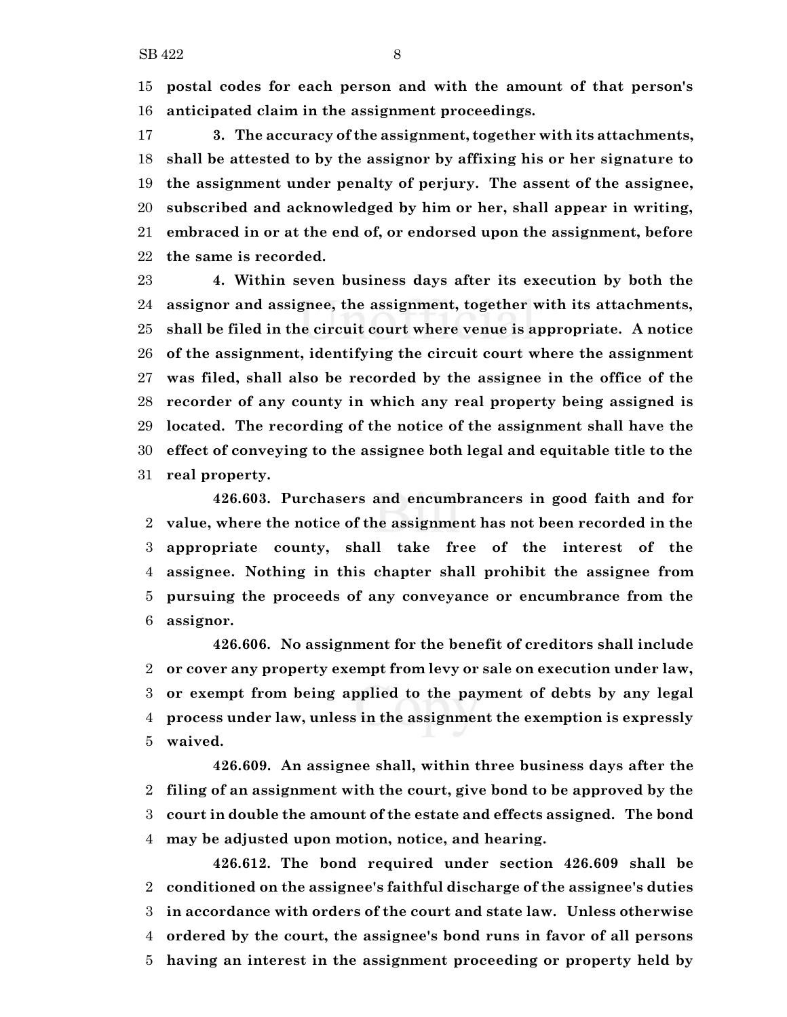**postal codes for each person and with the amount of that person's anticipated claim in the assignment proceedings.**

 **3. The accuracy of the assignment, together with its attachments, shall be attested to by the assignor by affixing his or her signature to the assignment under penalty of perjury. The assent of the assignee, subscribed and acknowledged by him or her, shall appear in writing, embraced in or at the end of, or endorsed upon the assignment, before the same is recorded.**

 **4. Within seven business days after its execution by both the assignor and assignee, the assignment, together with its attachments, shall be filed in the circuit court where venue is appropriate. A notice of the assignment, identifying the circuit court where the assignment was filed, shall also be recorded by the assignee in the office of the recorder of any county in which any real property being assigned is located. The recording of the notice of the assignment shall have the effect of conveying to the assignee both legal and equitable title to the real property.**

**426.603. Purchasers and encumbrancers in good faith and for value, where the notice of the assignment has not been recorded in the appropriate county, shall take free of the interest of the assignee. Nothing in this chapter shall prohibit the assignee from pursuing the proceeds of any conveyance or encumbrance from the assignor.**

**426.606. No assignment for the benefit of creditors shall include or cover any property exempt from levy or sale on execution under law, or exempt from being applied to the payment of debts by any legal process under law, unless in the assignment the exemption is expressly waived.**

**426.609. An assignee shall, within three business days after the filing of an assignment with the court, give bond to be approved by the court in double the amount of the estate and effects assigned. The bond may be adjusted upon motion, notice, and hearing.**

**426.612. The bond required under section 426.609 shall be conditioned on the assignee's faithful discharge of the assignee's duties in accordance with orders of the court and state law. Unless otherwise ordered by the court, the assignee's bond runs in favor of all persons having an interest in the assignment proceeding or property held by**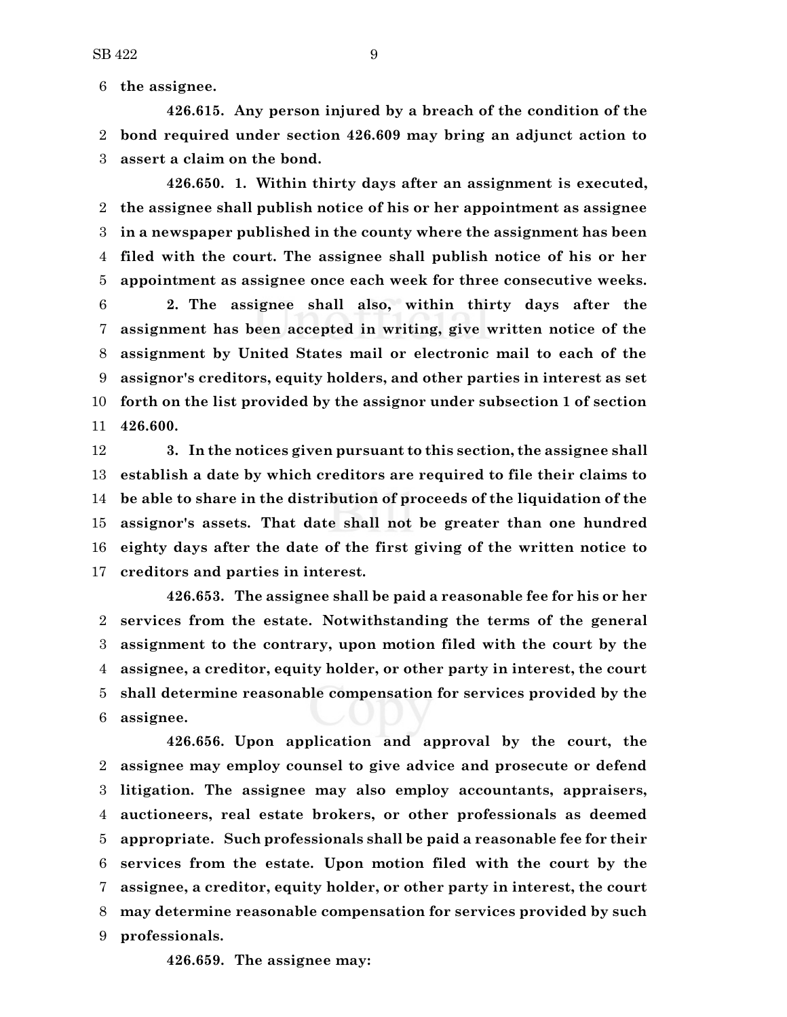**the assignee.**

**426.615. Any person injured by a breach of the condition of the bond required under section 426.609 may bring an adjunct action to assert a claim on the bond.**

**426.650. 1. Within thirty days after an assignment is executed, the assignee shall publish notice of his or her appointment as assignee in a newspaper published in the county where the assignment has been filed with the court. The assignee shall publish notice of his or her appointment as assignee once each week for three consecutive weeks.**

 **2. The assignee shall also, within thirty days after the assignment has been accepted in writing, give written notice of the assignment by United States mail or electronic mail to each of the assignor's creditors, equity holders, and other parties in interest as set forth on the list provided by the assignor under subsection 1 of section 426.600.**

 **3. In the notices given pursuant to this section, the assignee shall establish a date by which creditors are required to file their claims to be able to share in the distribution of proceeds of the liquidation of the assignor's assets. That date shall not be greater than one hundred eighty days after the date of the first giving of the written notice to creditors and parties in interest.**

**426.653. The assignee shall be paid a reasonable fee for his or her services from the estate. Notwithstanding the terms of the general assignment to the contrary, upon motion filed with the court by the assignee, a creditor, equity holder, or other party in interest, the court shall determine reasonable compensation for services provided by the assignee.**

**426.656. Upon application and approval by the court, the assignee may employ counsel to give advice and prosecute or defend litigation. The assignee may also employ accountants, appraisers, auctioneers, real estate brokers, or other professionals as deemed appropriate. Such professionals shall be paid a reasonable fee for their services from the estate. Upon motion filed with the court by the assignee, a creditor, equity holder, or other party in interest, the court may determine reasonable compensation for services provided by such professionals.**

**426.659. The assignee may:**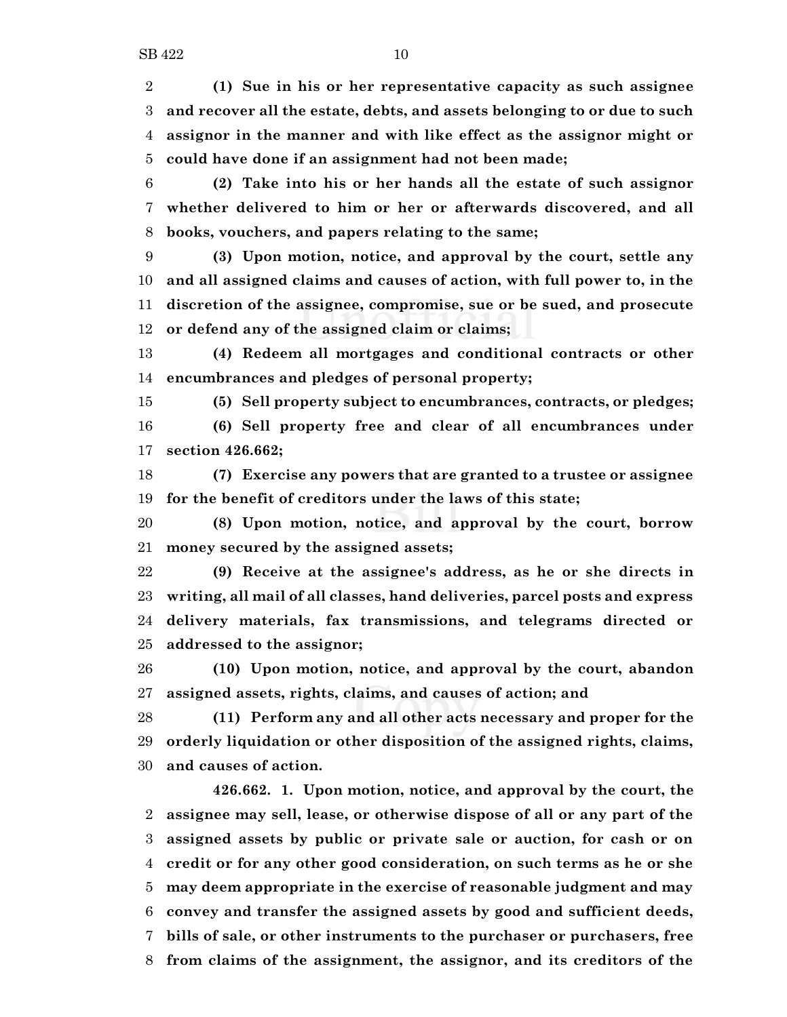**(1) Sue in his or her representative capacity as such assignee and recover all the estate, debts, and assets belonging to or due to such assignor in the manner and with like effect as the assignor might or could have done if an assignment had not been made;**

 **(2) Take into his or her hands all the estate of such assignor whether delivered to him or her or afterwards discovered, and all books, vouchers, and papers relating to the same;**

 **(3) Upon motion, notice, and approval by the court, settle any and all assigned claims and causes of action, with full power to, in the discretion of the assignee, compromise, sue or be sued, and prosecute or defend any of the assigned claim or claims;**

 **(4) Redeem all mortgages and conditional contracts or other encumbrances and pledges of personal property;**

 **(5) Sell property subject to encumbrances, contracts, or pledges; (6) Sell property free and clear of all encumbrances under section 426.662;**

 **(7) Exercise any powers that are granted to a trustee or assignee for the benefit of creditors under the laws of this state;**

 **(8) Upon motion, notice, and approval by the court, borrow money secured by the assigned assets;**

 **(9) Receive at the assignee's address, as he or she directs in writing, all mail of all classes, hand deliveries, parcel posts and express delivery materials, fax transmissions, and telegrams directed or addressed to the assignor;**

 **(10) Upon motion, notice, and approval by the court, abandon assigned assets, rights, claims, and causes of action; and**

 **(11) Perform any and all other acts necessary and proper for the orderly liquidation or other disposition of the assigned rights, claims, and causes of action.**

**426.662. 1. Upon motion, notice, and approval by the court, the assignee may sell, lease, or otherwise dispose of all or any part of the assigned assets by public or private sale or auction, for cash or on credit or for any other good consideration, on such terms as he or she may deem appropriate in the exercise of reasonable judgment and may convey and transfer the assigned assets by good and sufficient deeds, bills of sale, or other instruments to the purchaser or purchasers, free from claims of the assignment, the assignor, and its creditors of the**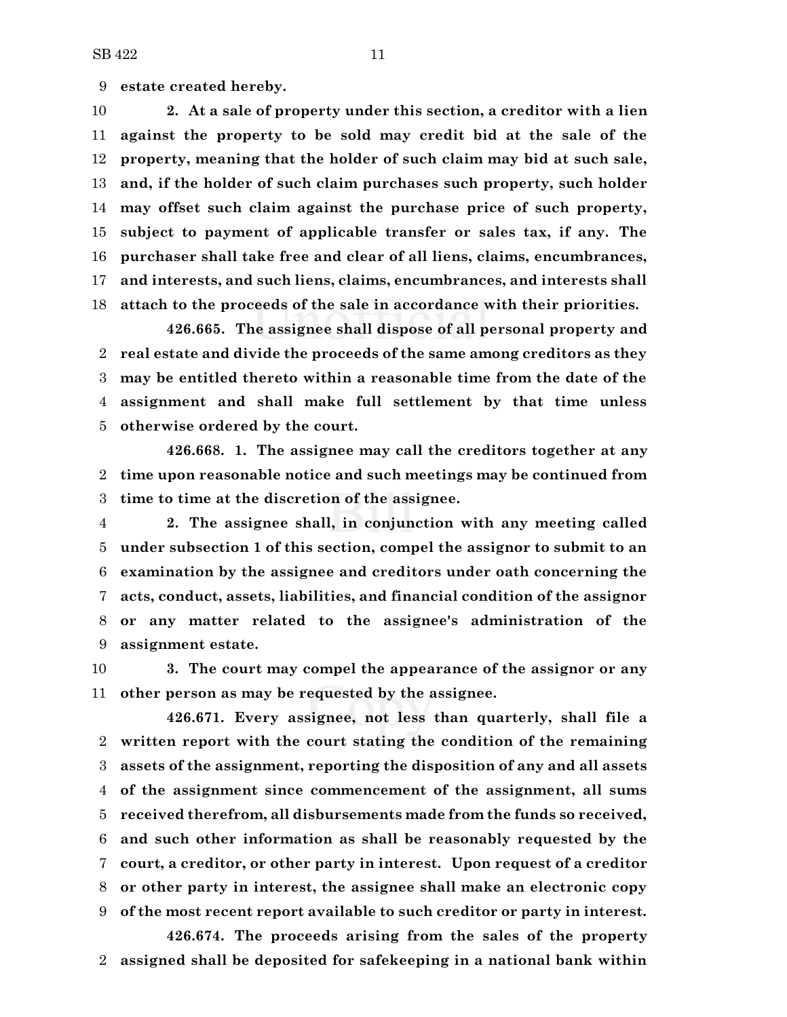**estate created hereby.**

 **2. At a sale of property under this section, a creditor with a lien against the property to be sold may credit bid at the sale of the property, meaning that the holder of such claim may bid at such sale, and, if the holder of such claim purchases such property, such holder may offset such claim against the purchase price of such property, subject to payment of applicable transfer or sales tax, if any. The purchaser shall take free and clear of all liens, claims, encumbrances, and interests, and such liens, claims, encumbrances, and interests shall attach to the proceeds of the sale in accordance with their priorities.**

**426.665. The assignee shall dispose of all personal property and real estate and divide the proceeds of the same among creditors as they may be entitled thereto within a reasonable time from the date of the assignment and shall make full settlement by that time unless otherwise ordered by the court.**

**426.668. 1. The assignee may call the creditors together at any time upon reasonable notice and such meetings may be continued from time to time at the discretion of the assignee.**

 **2. The assignee shall, in conjunction with any meeting called under subsection 1 of this section, compel the assignor to submit to an examination by the assignee and creditors under oath concerning the acts, conduct, assets, liabilities, and financial condition of the assignor or any matter related to the assignee's administration of the assignment estate.**

 **3. The court may compel the appearance of the assignor or any other person as may be requested by the assignee.**

**426.671. Every assignee, not less than quarterly, shall file a written report with the court stating the condition of the remaining assets of the assignment, reporting the disposition of any and all assets of the assignment since commencement of the assignment, all sums received therefrom, all disbursements made from the funds so received, and such other information as shall be reasonably requested by the court, a creditor, or other party in interest. Upon request of a creditor or other party in interest, the assignee shall make an electronic copy of the most recent report available to such creditor or party in interest.**

**426.674. The proceeds arising from the sales of the property assigned shall be deposited for safekeeping in a national bank within**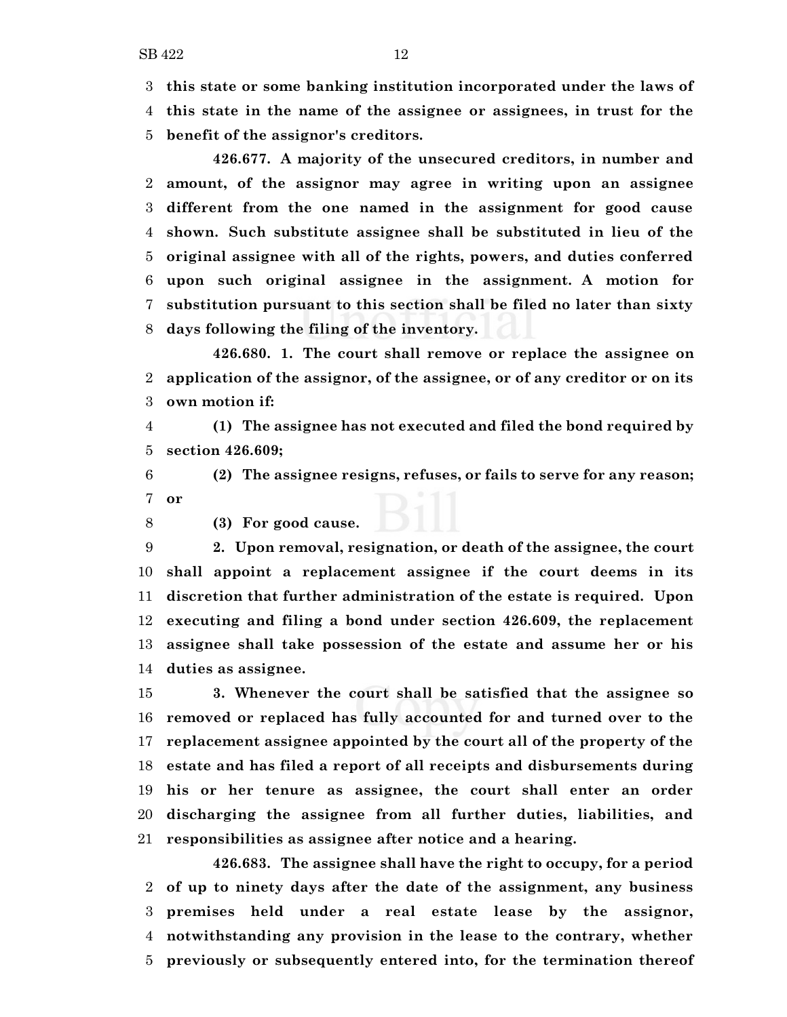**this state or some banking institution incorporated under the laws of this state in the name of the assignee or assignees, in trust for the**

**benefit of the assignor's creditors.**

**426.677. A majority of the unsecured creditors, in number and amount, of the assignor may agree in writing upon an assignee different from the one named in the assignment for good cause shown. Such substitute assignee shall be substituted in lieu of the original assignee with all of the rights, powers, and duties conferred upon such original assignee in the assignment. A motion for substitution pursuant to this section shall be filed no later than sixty days following the filing of the inventory.**

**426.680. 1. The court shall remove or replace the assignee on application of the assignor, of the assignee, or of any creditor or on its own motion if:**

 **(1) The assignee has not executed and filed the bond required by section 426.609;**

 **(2) The assignee resigns, refuses, or fails to serve for any reason; or**

**(3) For good cause.**

 **2. Upon removal, resignation, or death of the assignee, the court shall appoint a replacement assignee if the court deems in its discretion that further administration of the estate is required. Upon executing and filing a bond under section 426.609, the replacement assignee shall take possession of the estate and assume her or his duties as assignee.**

 **3. Whenever the court shall be satisfied that the assignee so removed or replaced has fully accounted for and turned over to the replacement assignee appointed by the court all of the property of the estate and has filed a report of all receipts and disbursements during his or her tenure as assignee, the court shall enter an order discharging the assignee from all further duties, liabilities, and responsibilities as assignee after notice and a hearing.**

**426.683. The assignee shall have the right to occupy, for a period of up to ninety days after the date of the assignment, any business premises held under a real estate lease by the assignor, notwithstanding any provision in the lease to the contrary, whether previously or subsequently entered into, for the termination thereof**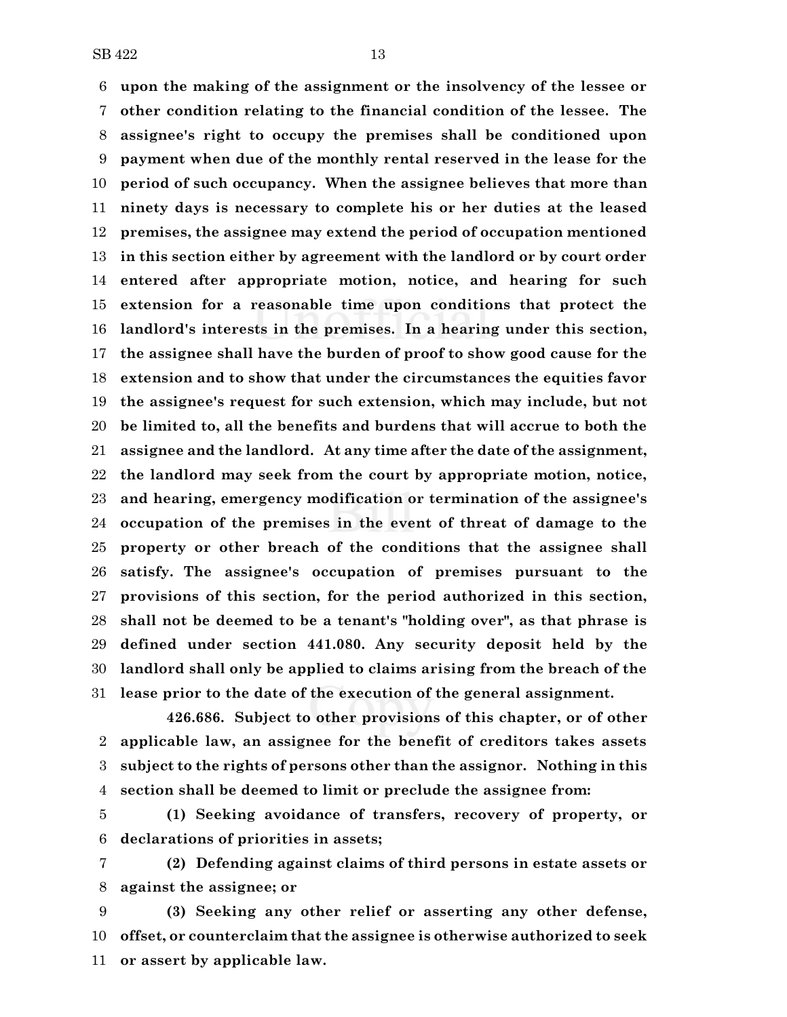**upon the making of the assignment or the insolvency of the lessee or other condition relating to the financial condition of the lessee. The assignee's right to occupy the premises shall be conditioned upon payment when due of the monthly rental reserved in the lease for the period of such occupancy. When the assignee believes that more than ninety days is necessary to complete his or her duties at the leased premises, the assignee may extend the period of occupation mentioned in this section either by agreement with the landlord or by court order entered after appropriate motion, notice, and hearing for such extension for a reasonable time upon conditions that protect the landlord's interests in the premises. In a hearing under this section, the assignee shall have the burden of proof to show good cause for the extension and to show that under the circumstances the equities favor the assignee's request for such extension, which may include, but not be limited to, all the benefits and burdens that will accrue to both the assignee and the landlord. At any time after the date of the assignment, the landlord may seek from the court by appropriate motion, notice, and hearing, emergency modification or termination of the assignee's occupation of the premises in the event of threat of damage to the property or other breach of the conditions that the assignee shall satisfy. The assignee's occupation of premises pursuant to the provisions of this section, for the period authorized in this section, shall not be deemed to be a tenant's "holding over", as that phrase is defined under section 441.080. Any security deposit held by the landlord shall only be applied to claims arising from the breach of the lease prior to the date of the execution of the general assignment.**

**426.686. Subject to other provisions of this chapter, or of other applicable law, an assignee for the benefit of creditors takes assets subject to the rights of persons other than the assignor. Nothing in this section shall be deemed to limit or preclude the assignee from:**

 **(1) Seeking avoidance of transfers, recovery of property, or declarations of priorities in assets;**

 **(2) Defending against claims of third persons in estate assets or against the assignee; or**

 **(3) Seeking any other relief or asserting any other defense, offset, or counterclaim that the assignee is otherwise authorized to seek or assert by applicable law.**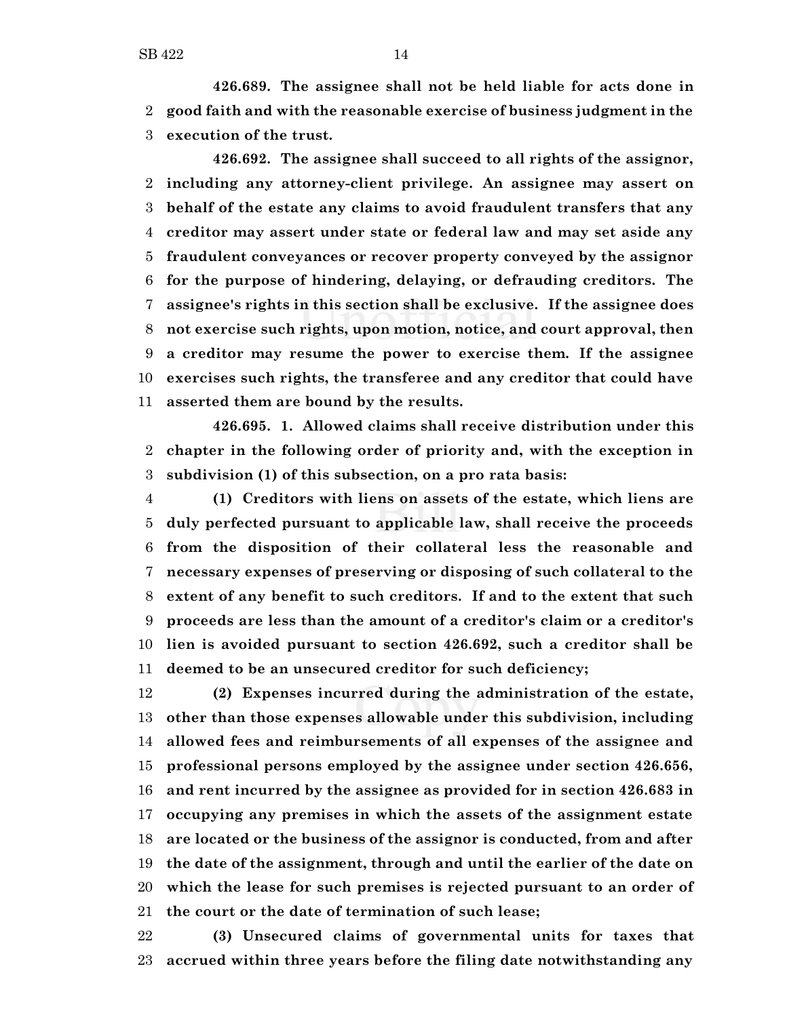**426.689. The assignee shall not be held liable for acts done in good faith and with the reasonable exercise of business judgment in the execution of the trust.**

**426.692. The assignee shall succeed to all rights of the assignor, including any attorney-client privilege. An assignee may assert on behalf of the estate any claims to avoid fraudulent transfers that any creditor may assert under state or federal law and may set aside any fraudulent conveyances or recover property conveyed by the assignor for the purpose of hindering, delaying, or defrauding creditors. The assignee's rights in this section shall be exclusive. If the assignee does not exercise such rights, upon motion, notice, and court approval, then a creditor may resume the power to exercise them. If the assignee exercises such rights, the transferee and any creditor that could have asserted them are bound by the results.**

**426.695. 1. Allowed claims shall receive distribution under this chapter in the following order of priority and, with the exception in subdivision (1) of this subsection, on a pro rata basis:**

 **(1) Creditors with liens on assets of the estate, which liens are duly perfected pursuant to applicable law, shall receive the proceeds from the disposition of their collateral less the reasonable and necessary expenses of preserving or disposing of such collateral to the extent of any benefit to such creditors. If and to the extent that such proceeds are less than the amount of a creditor's claim or a creditor's lien is avoided pursuant to section 426.692, such a creditor shall be deemed to be an unsecured creditor for such deficiency;**

 **(2) Expenses incurred during the administration of the estate, other than those expenses allowable under this subdivision, including allowed fees and reimbursements of all expenses of the assignee and professional persons employed by the assignee under section 426.656, and rent incurred by the assignee as provided for in section 426.683 in occupying any premises in which the assets of the assignment estate are located or the business of the assignor is conducted, from and after the date of the assignment, through and until the earlier of the date on which the lease for such premises is rejected pursuant to an order of the court or the date of termination of such lease;**

 **(3) Unsecured claims of governmental units for taxes that accrued within three years before the filing date notwithstanding any**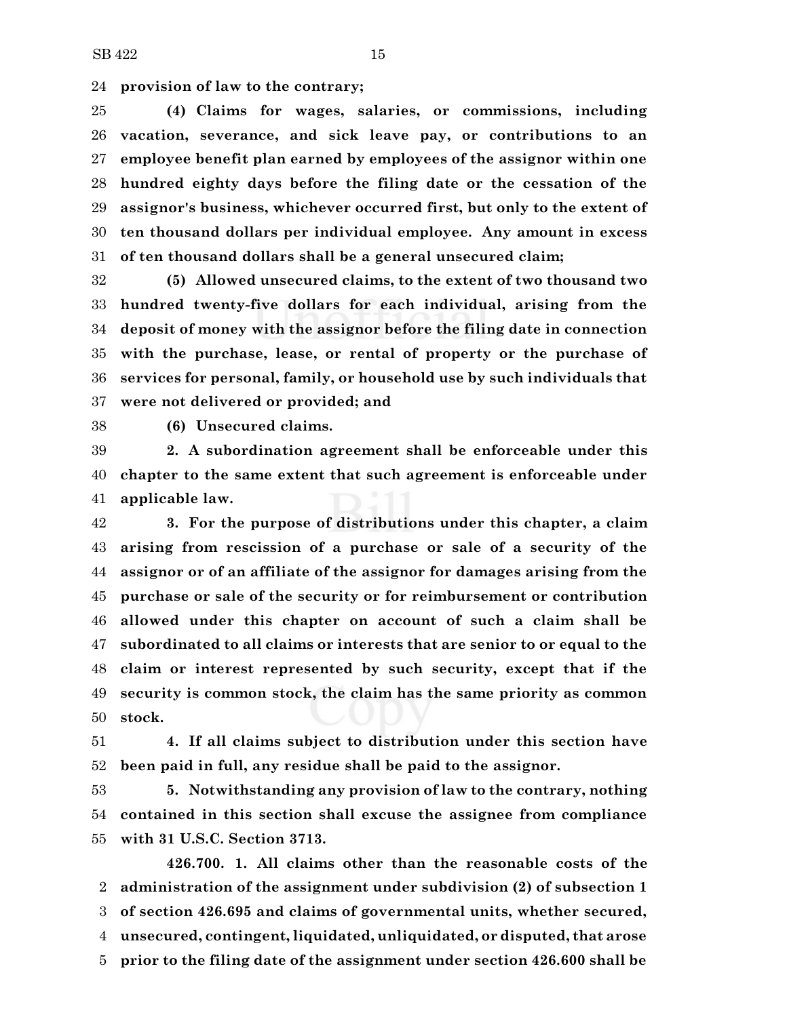**provision of law to the contrary;**

 **(4) Claims for wages, salaries, or commissions, including vacation, severance, and sick leave pay, or contributions to an employee benefit plan earned by employees of the assignor within one hundred eighty days before the filing date or the cessation of the assignor's business, whichever occurred first, but only to the extent of ten thousand dollars per individual employee. Any amount in excess of ten thousand dollars shall be a general unsecured claim;**

 **(5) Allowed unsecured claims, to the extent of two thousand two hundred twenty-five dollars for each individual, arising from the deposit of money with the assignor before the filing date in connection with the purchase, lease, or rental of property or the purchase of services for personal, family, or household use by such individuals that were not delivered or provided; and**

**(6) Unsecured claims.**

 **2. A subordination agreement shall be enforceable under this chapter to the same extent that such agreement is enforceable under applicable law.**

 **3. For the purpose of distributions under this chapter, a claim arising from rescission of a purchase or sale of a security of the assignor or of an affiliate of the assignor for damages arising from the purchase or sale of the security or for reimbursement or contribution allowed under this chapter on account of such a claim shall be subordinated to all claims or interests that are senior to or equal to the claim or interest represented by such security, except that if the security is common stock, the claim has the same priority as common stock.**

 **4. If all claims subject to distribution under this section have been paid in full, any residue shall be paid to the assignor.**

 **5. Notwithstanding any provision of law to the contrary, nothing contained in this section shall excuse the assignee from compliance with 31 U.S.C. Section 3713.**

**426.700. 1. All claims other than the reasonable costs of the administration of the assignment under subdivision (2) of subsection 1 of section 426.695 and claims of governmental units, whether secured, unsecured, contingent, liquidated, unliquidated, or disputed, that arose prior to the filing date of the assignment under section 426.600 shall be**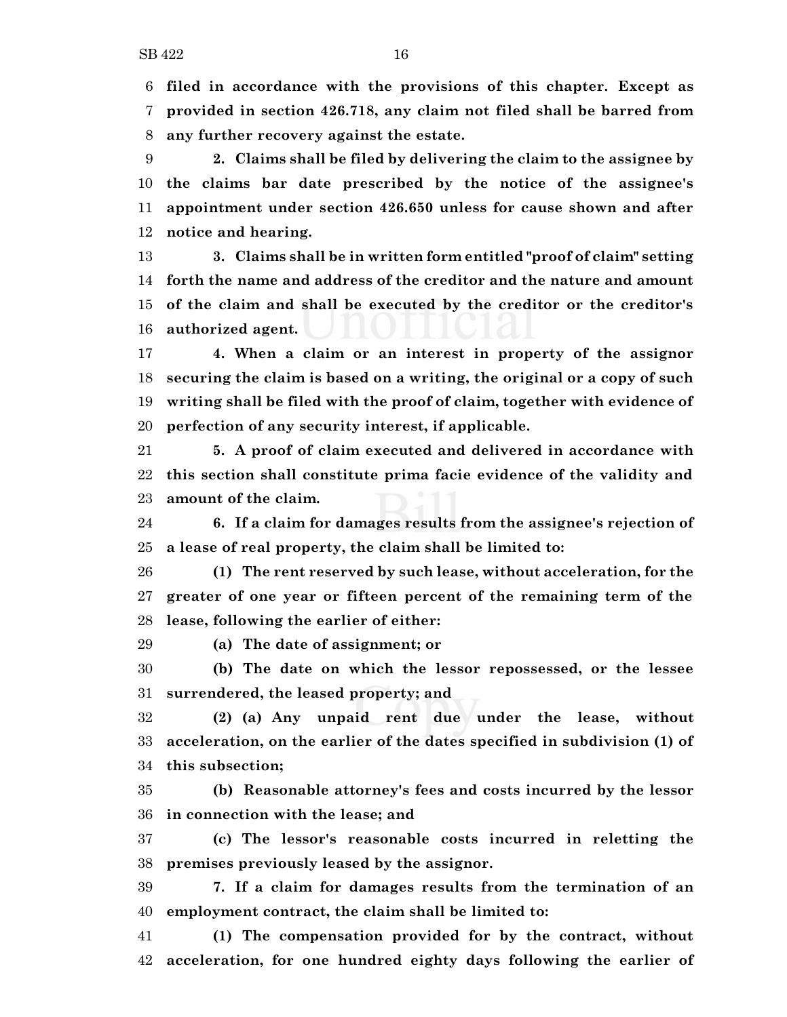**filed in accordance with the provisions of this chapter. Except as provided in section 426.718, any claim not filed shall be barred from any further recovery against the estate.**

 **2. Claims shall be filed by delivering the claim to the assignee by the claims bar date prescribed by the notice of the assignee's appointment under section 426.650 unless for cause shown and after notice and hearing.**

 **3. Claims shall be in written form entitled "proof of claim" setting forth the name and address of the creditor and the nature and amount of the claim and shall be executed by the creditor or the creditor's authorized agent.**

 **4. When a claim or an interest in property of the assignor securing the claim is based on a writing, the original or a copy of such writing shall be filed with the proof of claim, together with evidence of perfection of any security interest, if applicable.**

 **5. A proof of claim executed and delivered in accordance with this section shall constitute prima facie evidence of the validity and amount of the claim.**

 **6. If a claim for damages results from the assignee's rejection of a lease of real property, the claim shall be limited to:**

 **(1) The rent reserved by such lease, without acceleration, for the greater of one year or fifteen percent of the remaining term of the lease, following the earlier of either:**

**(a) The date of assignment; or**

 **(b) The date on which the lessor repossessed, or the lessee surrendered, the leased property; and**

 **(2) (a) Any unpaid rent due under the lease, without acceleration, on the earlier of the dates specified in subdivision (1) of this subsection;**

 **(b) Reasonable attorney's fees and costs incurred by the lessor in connection with the lease; and**

 **(c) The lessor's reasonable costs incurred in reletting the premises previously leased by the assignor.**

 **7. If a claim for damages results from the termination of an employment contract, the claim shall be limited to:**

 **(1) The compensation provided for by the contract, without acceleration, for one hundred eighty days following the earlier of**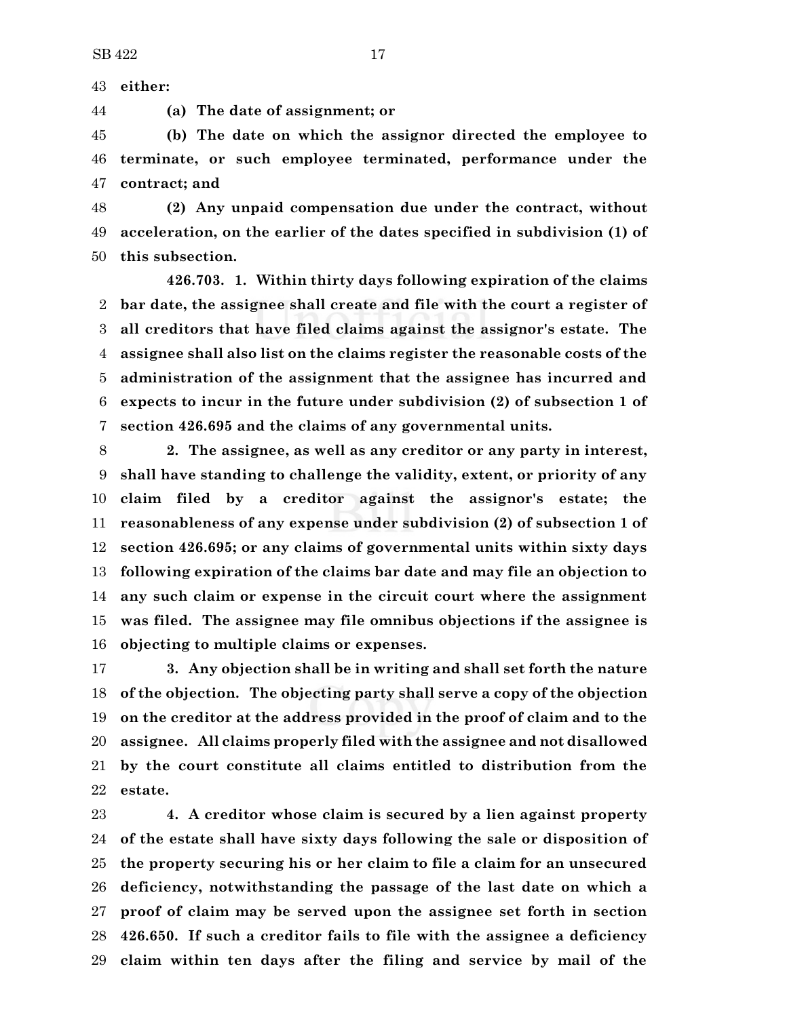**either:**

**(a) The date of assignment; or**

 **(b) The date on which the assignor directed the employee to terminate, or such employee terminated, performance under the contract; and**

 **(2) Any unpaid compensation due under the contract, without acceleration, on the earlier of the dates specified in subdivision (1) of this subsection.**

**426.703. 1. Within thirty days following expiration of the claims bar date, the assignee shall create and file with the court a register of all creditors that have filed claims against the assignor's estate. The assignee shall also list on the claims register the reasonable costs of the administration of the assignment that the assignee has incurred and expects to incur in the future under subdivision (2) of subsection 1 of section 426.695 and the claims of any governmental units.**

 **2. The assignee, as well as any creditor or any party in interest, shall have standing to challenge the validity, extent, or priority of any claim filed by a creditor against the assignor's estate; the reasonableness of any expense under subdivision (2) of subsection 1 of section 426.695; or any claims of governmental units within sixty days following expiration of the claims bar date and may file an objection to any such claim or expense in the circuit court where the assignment was filed. The assignee may file omnibus objections if the assignee is objecting to multiple claims or expenses.**

 **3. Any objection shall be in writing and shall set forth the nature of the objection. The objecting party shall serve a copy of the objection on the creditor at the address provided in the proof of claim and to the assignee. All claims properly filed with the assignee and not disallowed by the court constitute all claims entitled to distribution from the estate.**

 **4. A creditor whose claim is secured by a lien against property of the estate shall have sixty days following the sale or disposition of the property securing his or her claim to file a claim for an unsecured deficiency, notwithstanding the passage of the last date on which a proof of claim may be served upon the assignee set forth in section 426.650. If such a creditor fails to file with the assignee a deficiency claim within ten days after the filing and service by mail of the**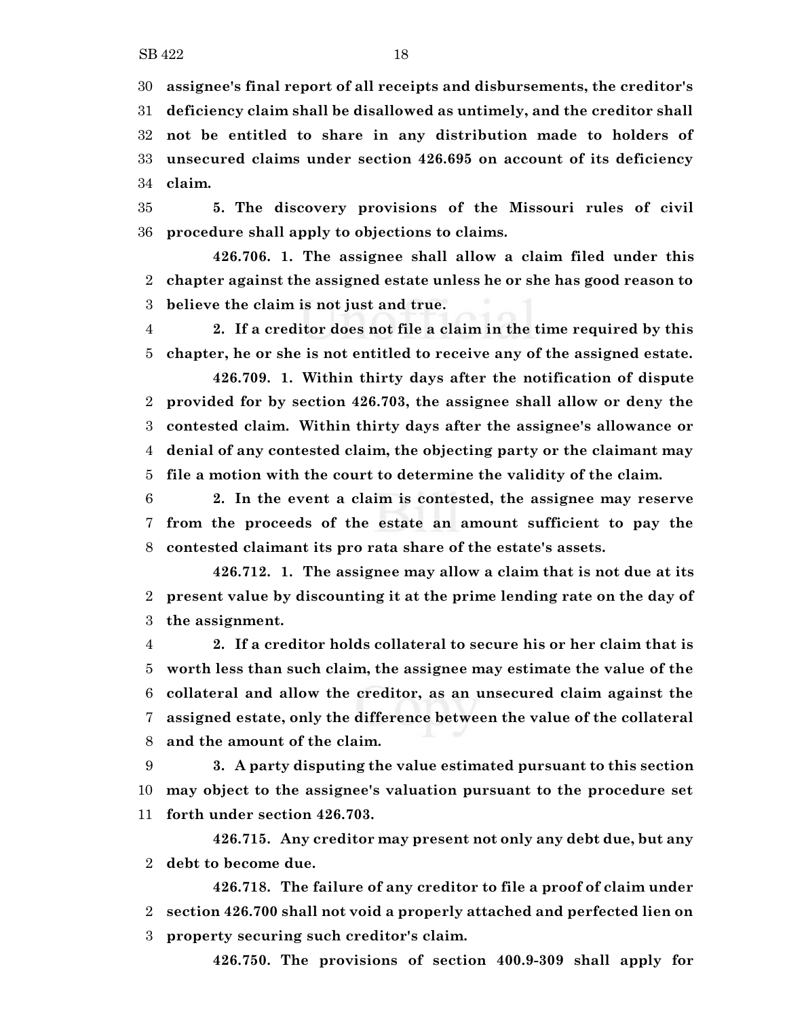**assignee's final report of all receipts and disbursements, the creditor's**

 **deficiency claim shall be disallowed as untimely, and the creditor shall not be entitled to share in any distribution made to holders of unsecured claims under section 426.695 on account of its deficiency claim.**

 **5. The discovery provisions of the Missouri rules of civil procedure shall apply to objections to claims.**

**426.706. 1. The assignee shall allow a claim filed under this chapter against the assigned estate unless he or she has good reason to believe the claim is not just and true.**

 **2. If a creditor does not file a claim in the time required by this chapter, he or she is not entitled to receive any of the assigned estate.**

**426.709. 1. Within thirty days after the notification of dispute provided for by section 426.703, the assignee shall allow or deny the contested claim. Within thirty days after the assignee's allowance or denial of any contested claim, the objecting party or the claimant may file a motion with the court to determine the validity of the claim.**

 **2. In the event a claim is contested, the assignee may reserve from the proceeds of the estate an amount sufficient to pay the contested claimant its pro rata share of the estate's assets.**

**426.712. 1. The assignee may allow a claim that is not due at its present value by discounting it at the prime lending rate on the day of the assignment.**

 **2. If a creditor holds collateral to secure his or her claim that is worth less than such claim, the assignee may estimate the value of the collateral and allow the creditor, as an unsecured claim against the assigned estate, only the difference between the value of the collateral and the amount of the claim.**

 **3. A party disputing the value estimated pursuant to this section may object to the assignee's valuation pursuant to the procedure set forth under section 426.703.**

**426.715. Any creditor may present not only any debt due, but any debt to become due.**

**426.718. The failure of any creditor to file a proof of claim under section 426.700 shall not void a properly attached and perfected lien on property securing such creditor's claim.**

**426.750. The provisions of section 400.9-309 shall apply for**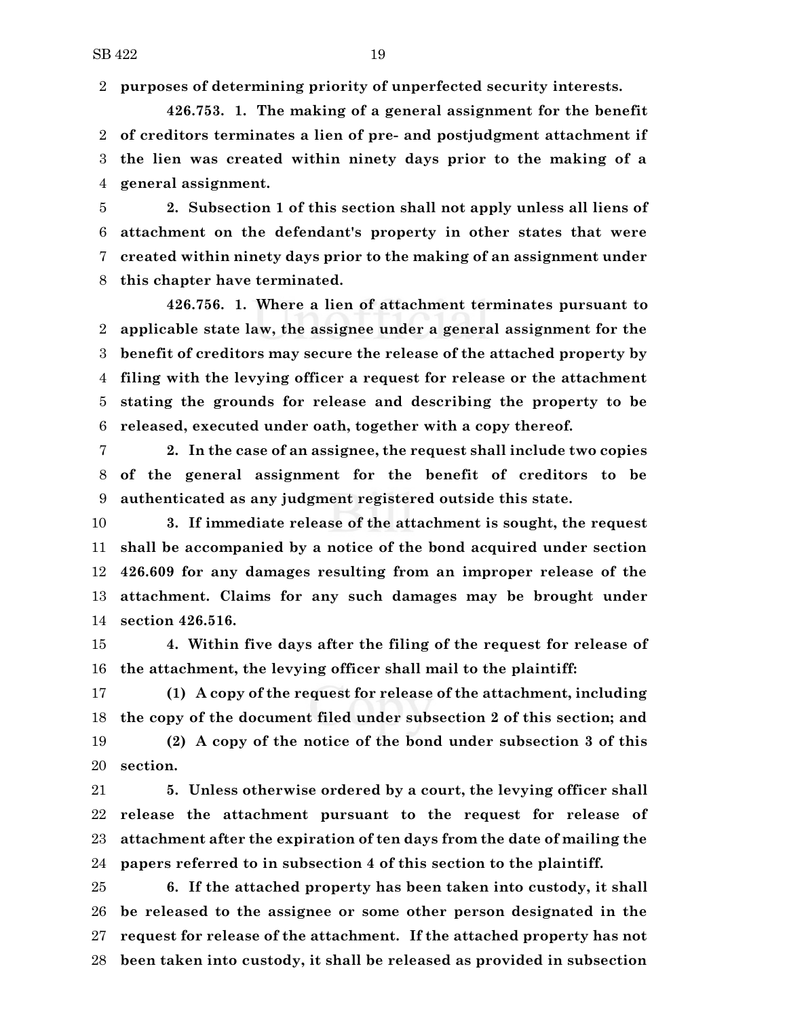**purposes of determining priority of unperfected security interests.**

**426.753. 1. The making of a general assignment for the benefit of creditors terminates a lien of pre- and postjudgment attachment if the lien was created within ninety days prior to the making of a general assignment.**

 **2. Subsection 1 of this section shall not apply unless all liens of attachment on the defendant's property in other states that were created within ninety days prior to the making of an assignment under this chapter have terminated.**

**426.756. 1. Where a lien of attachment terminates pursuant to applicable state law, the assignee under a general assignment for the benefit of creditors may secure the release of the attached property by filing with the levying officer a request for release or the attachment stating the grounds for release and describing the property to be released, executed under oath, together with a copy thereof.**

 **2. In the case of an assignee, the request shall include two copies of the general assignment for the benefit of creditors to be authenticated as any judgment registered outside this state.**

 **3. If immediate release of the attachment is sought, the request shall be accompanied by a notice of the bond acquired under section 426.609 for any damages resulting from an improper release of the attachment. Claims for any such damages may be brought under section 426.516.**

 **4. Within five days after the filing of the request for release of the attachment, the levying officer shall mail to the plaintiff:**

 **(1) A copy of the request for release of the attachment, including the copy of the document filed under subsection 2 of this section; and (2) A copy of the notice of the bond under subsection 3 of this section.**

 **5. Unless otherwise ordered by a court, the levying officer shall release the attachment pursuant to the request for release of attachment after the expiration of ten days from the date of mailing the papers referred to in subsection 4 of this section to the plaintiff.**

 **6. If the attached property has been taken into custody, it shall be released to the assignee or some other person designated in the request for release of the attachment. If the attached property has not been taken into custody, it shall be released as provided in subsection**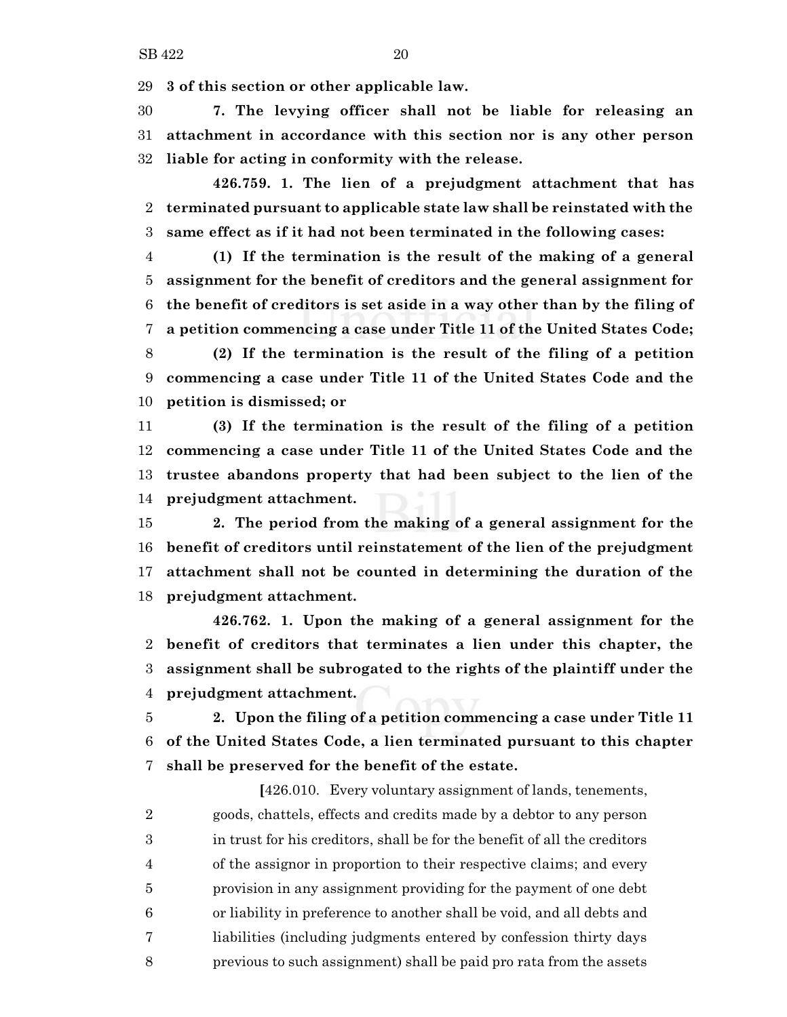**3 of this section or other applicable law.**

 **7. The levying officer shall not be liable for releasing an attachment in accordance with this section nor is any other person liable for acting in conformity with the release.**

**426.759. 1. The lien of a prejudgment attachment that has terminated pursuant to applicable state law shall be reinstated with the same effect as if it had not been terminated in the following cases:**

 **(1) If the termination is the result of the making of a general assignment for the benefit of creditors and the general assignment for the benefit of creditors is set aside in a way other than by the filing of a petition commencing a case under Title 11 of the United States Code; (2) If the termination is the result of the filing of a petition commencing a case under Title 11 of the United States Code and the**

**petition is dismissed; or**

 **(3) If the termination is the result of the filing of a petition commencing a case under Title 11 of the United States Code and the trustee abandons property that had been subject to the lien of the prejudgment attachment.**

 **2. The period from the making of a general assignment for the benefit of creditors until reinstatement of the lien of the prejudgment attachment shall not be counted in determining the duration of the prejudgment attachment.**

**426.762. 1. Upon the making of a general assignment for the benefit of creditors that terminates a lien under this chapter, the assignment shall be subrogated to the rights of the plaintiff under the prejudgment attachment.**

 **2. Upon the filing of a petition commencing a case under Title 11 of the United States Code, a lien terminated pursuant to this chapter shall be preserved for the benefit of the estate.**

**[**426.010. Every voluntary assignment of lands, tenements, goods, chattels, effects and credits made by a debtor to any person in trust for his creditors, shall be for the benefit of all the creditors of the assignor in proportion to their respective claims; and every provision in any assignment providing for the payment of one debt or liability in preference to another shall be void, and all debts and liabilities (including judgments entered by confession thirty days previous to such assignment) shall be paid pro rata from the assets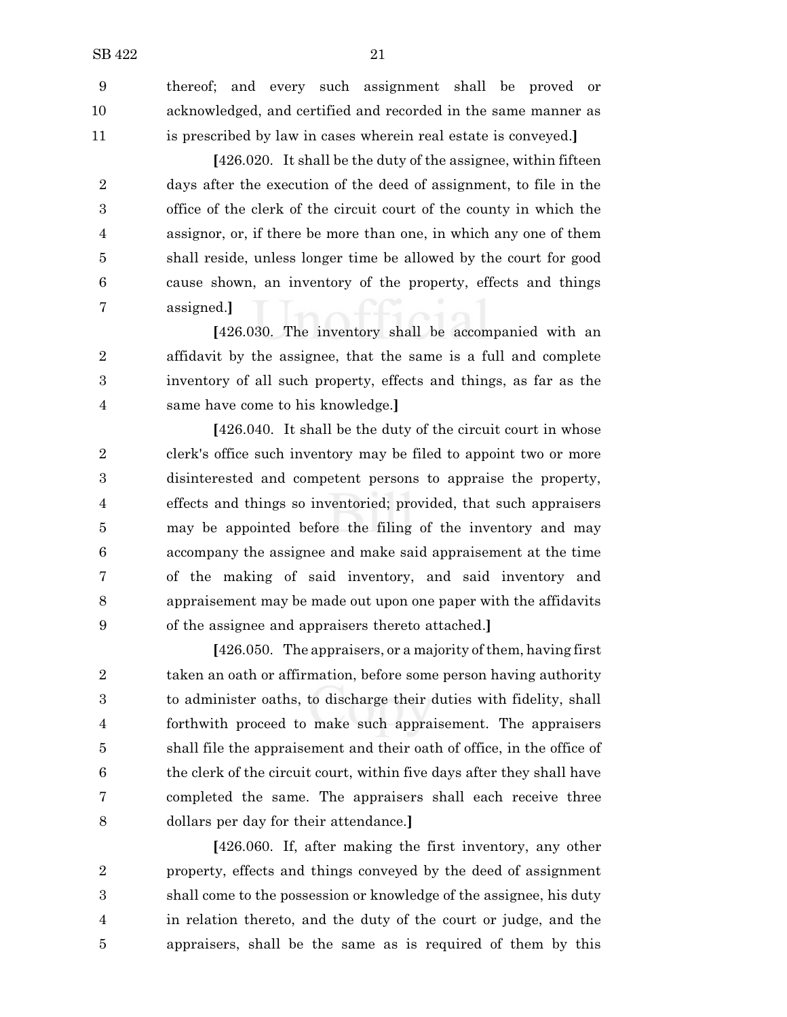thereof; and every such assignment shall be proved or acknowledged, and certified and recorded in the same manner as is prescribed by law in cases wherein real estate is conveyed.**]**

**[**426.020. It shall be the duty of the assignee, within fifteen days after the execution of the deed of assignment, to file in the office of the clerk of the circuit court of the county in which the assignor, or, if there be more than one, in which any one of them shall reside, unless longer time be allowed by the court for good cause shown, an inventory of the property, effects and things assigned.**]**

**[**426.030. The inventory shall be accompanied with an affidavit by the assignee, that the same is a full and complete inventory of all such property, effects and things, as far as the same have come to his knowledge.**]**

**[**426.040. It shall be the duty of the circuit court in whose clerk's office such inventory may be filed to appoint two or more disinterested and competent persons to appraise the property, effects and things so inventoried; provided, that such appraisers may be appointed before the filing of the inventory and may accompany the assignee and make said appraisement at the time of the making of said inventory, and said inventory and appraisement may be made out upon one paper with the affidavits of the assignee and appraisers thereto attached.**]**

[426.050. The appraisers, or a majority of them, having first taken an oath or affirmation, before some person having authority to administer oaths, to discharge their duties with fidelity, shall forthwith proceed to make such appraisement. The appraisers shall file the appraisement and their oath of office, in the office of the clerk of the circuit court, within five days after they shall have completed the same. The appraisers shall each receive three dollars per day for their attendance.**]**

**[**426.060. If, after making the first inventory, any other property, effects and things conveyed by the deed of assignment shall come to the possession or knowledge of the assignee, his duty in relation thereto, and the duty of the court or judge, and the appraisers, shall be the same as is required of them by this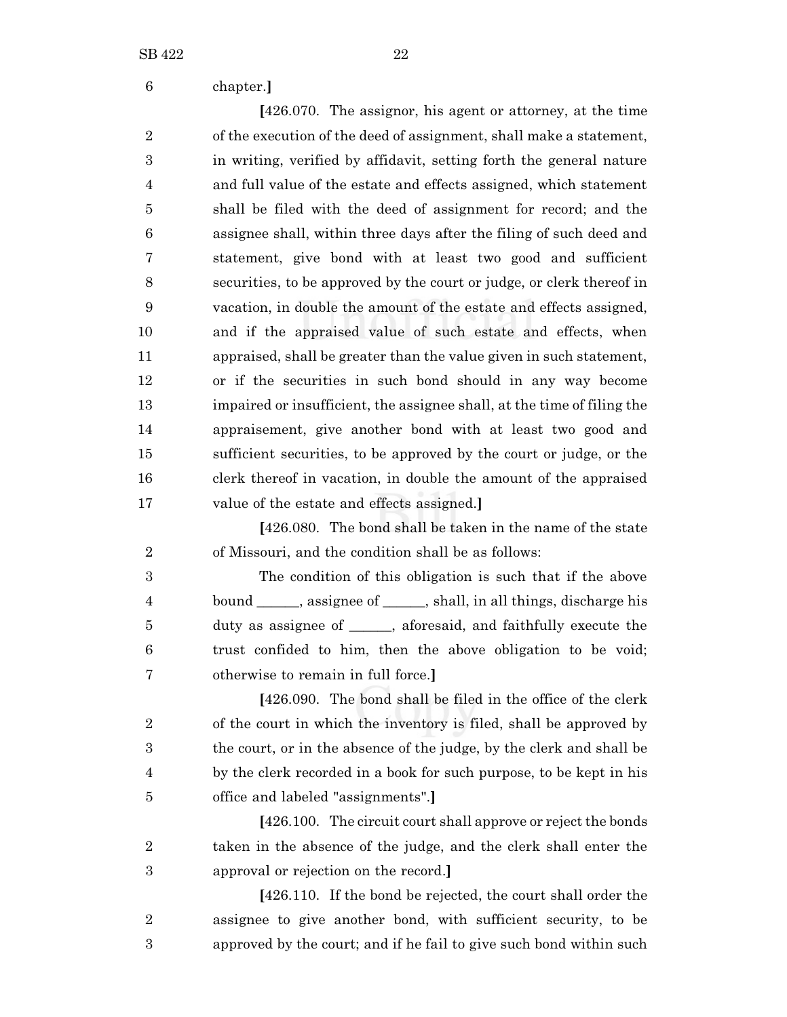| 6              | chapter.]                                                               |
|----------------|-------------------------------------------------------------------------|
|                | [426.070. The assignor, his agent or attorney, at the time              |
| $\overline{2}$ | of the execution of the deed of assignment, shall make a statement,     |
| 3              | in writing, verified by affidavit, setting forth the general nature     |
| 4              | and full value of the estate and effects assigned, which statement      |
| 5              | shall be filed with the deed of assignment for record; and the          |
| 6              | assignee shall, within three days after the filing of such deed and     |
| 7              | statement, give bond with at least two good and sufficient              |
| 8              | securities, to be approved by the court or judge, or clerk thereof in   |
| 9              | vacation, in double the amount of the estate and effects assigned,      |
| 10             | and if the appraised value of such estate and effects, when             |
| 11             | appraised, shall be greater than the value given in such statement,     |
| 12             | or if the securities in such bond should in any way become              |
| 13             | impaired or insufficient, the assignee shall, at the time of filing the |
| 14             | appraisement, give another bond with at least two good and              |
| 15             | sufficient securities, to be approved by the court or judge, or the     |
| 16             | clerk thereof in vacation, in double the amount of the appraised        |
| 17             | value of the estate and effects assigned.]                              |
|                | [426.080. The bond shall be taken in the name of the state              |
| $\overline{2}$ | of Missouri, and the condition shall be as follows:                     |
| 3              | The condition of this obligation is such that if the above              |
| 4              | bound ______, assignee of ______, shall, in all things, discharge his   |
| 5              | duty as assignee of ______, aforesaid, and faithfully execute the       |
| 6              | trust confided to him, then the above obligation to be void;            |
| 7              | otherwise to remain in full force.                                      |
|                | [426.090. The bond shall be filed in the office of the clerk            |
| $\overline{2}$ | of the court in which the inventory is filed, shall be approved by      |
| 3              | the court, or in the absence of the judge, by the clerk and shall be    |
| 4              | by the clerk recorded in a book for such purpose, to be kept in his     |
| 5              | office and labeled "assignments".                                       |
|                | [426.100. The circuit court shall approve or reject the bonds           |
| $\overline{2}$ | taken in the absence of the judge, and the clerk shall enter the        |

approval or rejection on the record.**]**

**[**426.110. If the bond be rejected, the court shall order the assignee to give another bond, with sufficient security, to be approved by the court; and if he fail to give such bond within such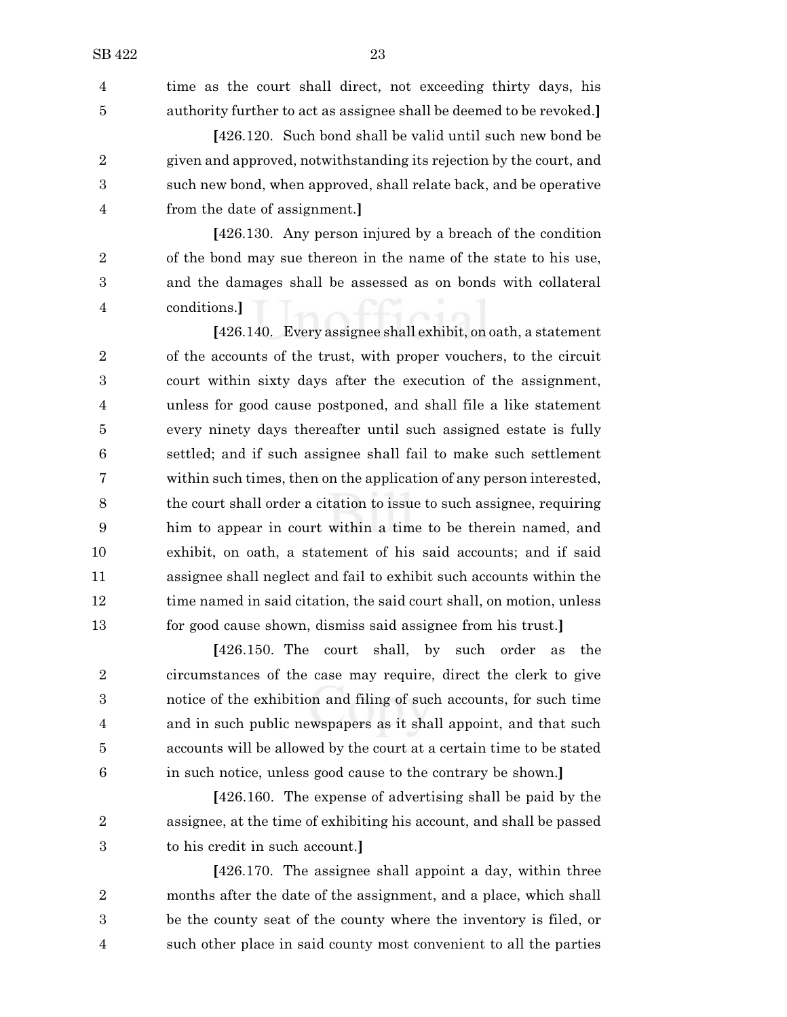time as the court shall direct, not exceeding thirty days, his authority further to act as assignee shall be deemed to be revoked.**]**

**[**426.120. Such bond shall be valid until such new bond be given and approved, notwithstanding its rejection by the court, and such new bond, when approved, shall relate back, and be operative from the date of assignment.**]**

**[**426.130. Any person injured by a breach of the condition of the bond may sue thereon in the name of the state to his use, and the damages shall be assessed as on bonds with collateral conditions.**]**

**[**426.140. Every assignee shall exhibit, on oath, a statement of the accounts of the trust, with proper vouchers, to the circuit court within sixty days after the execution of the assignment, unless for good cause postponed, and shall file a like statement every ninety days thereafter until such assigned estate is fully settled; and if such assignee shall fail to make such settlement within such times, then on the application of any person interested, the court shall order a citation to issue to such assignee, requiring him to appear in court within a time to be therein named, and exhibit, on oath, a statement of his said accounts; and if said assignee shall neglect and fail to exhibit such accounts within the 12 time named in said citation, the said court shall, on motion, unless for good cause shown, dismiss said assignee from his trust.**]**

**[**426.150. The court shall, by such order as the circumstances of the case may require, direct the clerk to give notice of the exhibition and filing of such accounts, for such time and in such public newspapers as it shall appoint, and that such accounts will be allowed by the court at a certain time to be stated in such notice, unless good cause to the contrary be shown.**]**

**[**426.160. The expense of advertising shall be paid by the assignee, at the time of exhibiting his account, and shall be passed to his credit in such account.**]**

**[**426.170. The assignee shall appoint a day, within three months after the date of the assignment, and a place, which shall be the county seat of the county where the inventory is filed, or such other place in said county most convenient to all the parties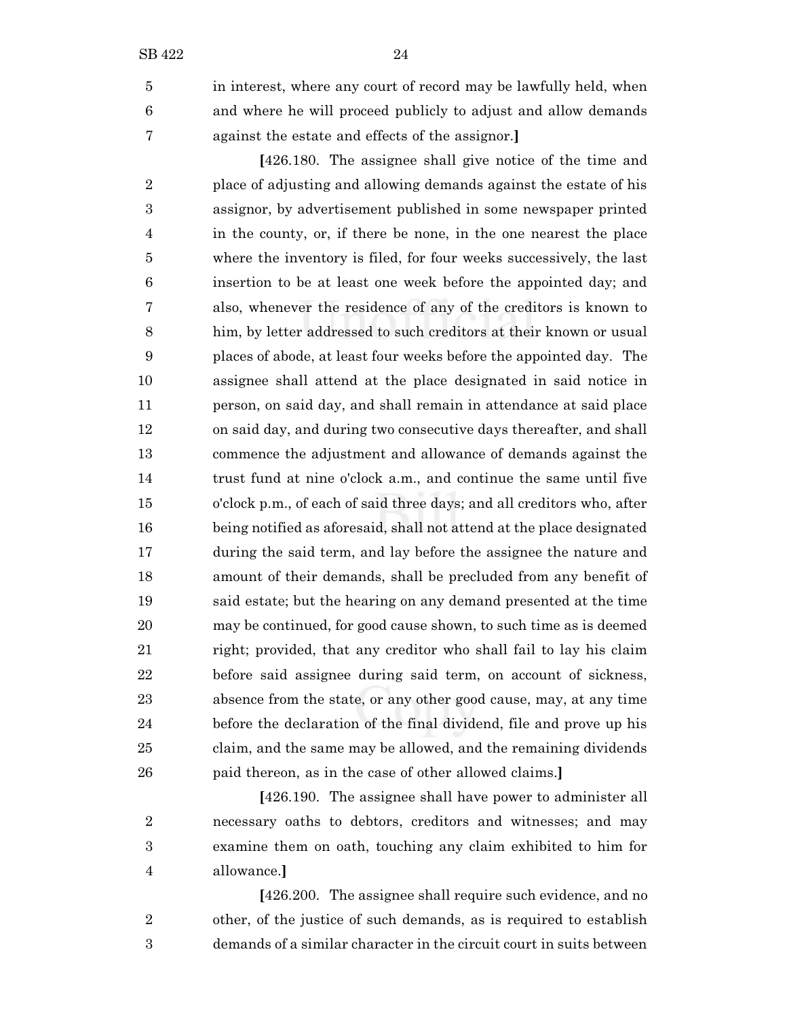in interest, where any court of record may be lawfully held, when and where he will proceed publicly to adjust and allow demands against the estate and effects of the assignor.**]**

**[**426.180. The assignee shall give notice of the time and place of adjusting and allowing demands against the estate of his assignor, by advertisement published in some newspaper printed in the county, or, if there be none, in the one nearest the place where the inventory is filed, for four weeks successively, the last insertion to be at least one week before the appointed day; and also, whenever the residence of any of the creditors is known to him, by letter addressed to such creditors at their known or usual places of abode, at least four weeks before the appointed day. The assignee shall attend at the place designated in said notice in person, on said day, and shall remain in attendance at said place on said day, and during two consecutive days thereafter, and shall commence the adjustment and allowance of demands against the trust fund at nine o'clock a.m., and continue the same until five o'clock p.m., of each of said three days; and all creditors who, after being notified as aforesaid, shall not attend at the place designated during the said term, and lay before the assignee the nature and amount of their demands, shall be precluded from any benefit of said estate; but the hearing on any demand presented at the time may be continued, for good cause shown, to such time as is deemed right; provided, that any creditor who shall fail to lay his claim before said assignee during said term, on account of sickness, absence from the state, or any other good cause, may, at any time before the declaration of the final dividend, file and prove up his claim, and the same may be allowed, and the remaining dividends paid thereon, as in the case of other allowed claims.**]**

**[**426.190. The assignee shall have power to administer all necessary oaths to debtors, creditors and witnesses; and may examine them on oath, touching any claim exhibited to him for allowance.**]**

**[**426.200. The assignee shall require such evidence, and no other, of the justice of such demands, as is required to establish demands of a similar character in the circuit court in suits between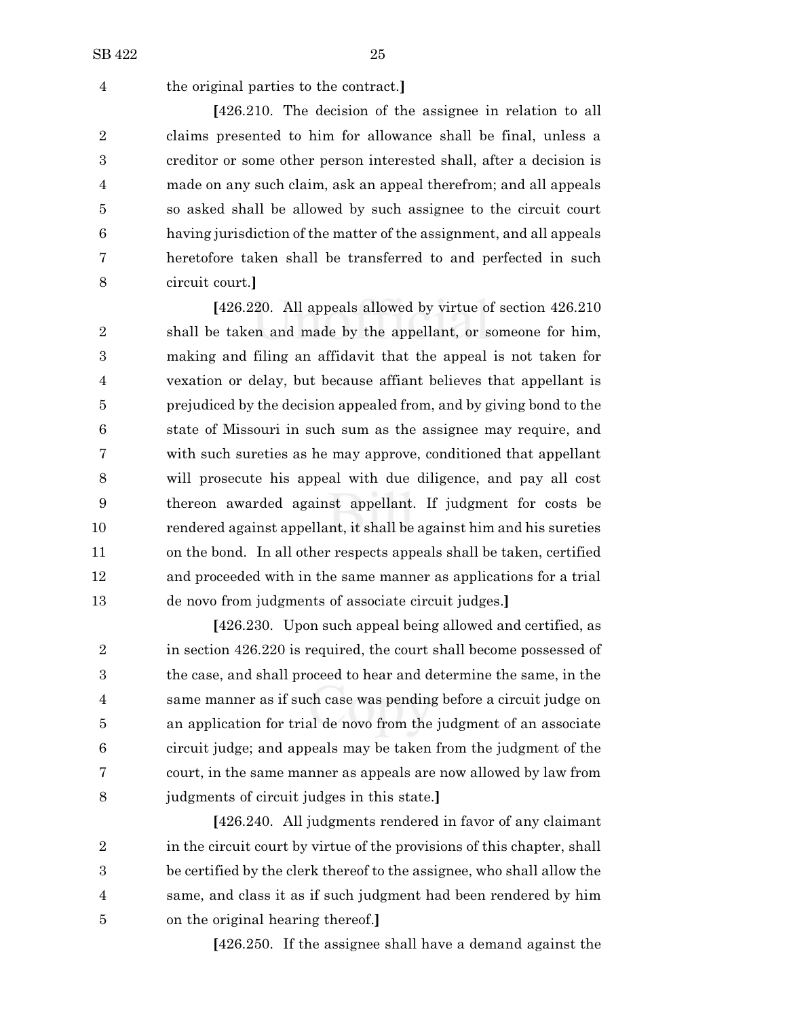the original parties to the contract.**]**

**[**426.210. The decision of the assignee in relation to all claims presented to him for allowance shall be final, unless a creditor or some other person interested shall, after a decision is made on any such claim, ask an appeal therefrom; and all appeals so asked shall be allowed by such assignee to the circuit court having jurisdiction of the matter of the assignment, and all appeals heretofore taken shall be transferred to and perfected in such circuit court.**]**

**[**426.220. All appeals allowed by virtue of section 426.210 shall be taken and made by the appellant, or someone for him, making and filing an affidavit that the appeal is not taken for vexation or delay, but because affiant believes that appellant is prejudiced by the decision appealed from, and by giving bond to the state of Missouri in such sum as the assignee may require, and with such sureties as he may approve, conditioned that appellant will prosecute his appeal with due diligence, and pay all cost thereon awarded against appellant. If judgment for costs be rendered against appellant, it shall be against him and his sureties on the bond. In all other respects appeals shall be taken, certified and proceeded with in the same manner as applications for a trial de novo from judgments of associate circuit judges.**]**

**[**426.230. Upon such appeal being allowed and certified, as 2 in section 426.220 is required, the court shall become possessed of the case, and shall proceed to hear and determine the same, in the same manner as if such case was pending before a circuit judge on an application for trial de novo from the judgment of an associate circuit judge; and appeals may be taken from the judgment of the court, in the same manner as appeals are now allowed by law from judgments of circuit judges in this state.**]**

**[**426.240. All judgments rendered in favor of any claimant 2 in the circuit court by virtue of the provisions of this chapter, shall be certified by the clerk thereof to the assignee, who shall allow the same, and class it as if such judgment had been rendered by him on the original hearing thereof.**]**

**[**426.250. If the assignee shall have a demand against the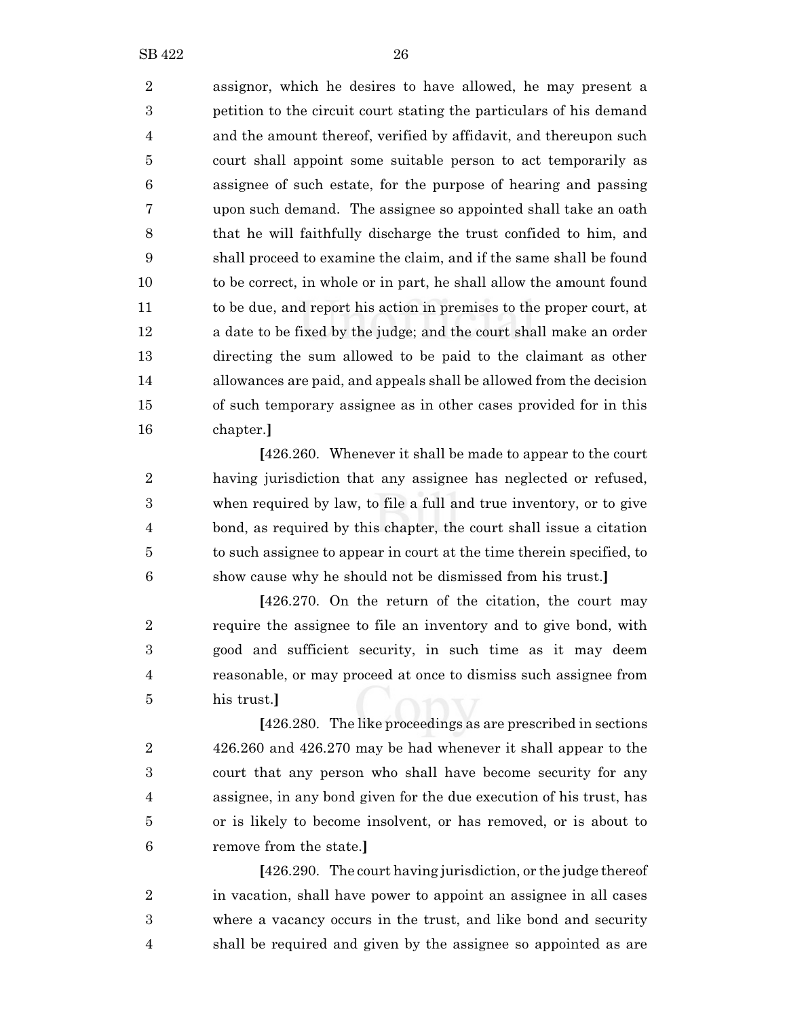assignor, which he desires to have allowed, he may present a petition to the circuit court stating the particulars of his demand and the amount thereof, verified by affidavit, and thereupon such court shall appoint some suitable person to act temporarily as assignee of such estate, for the purpose of hearing and passing upon such demand. The assignee so appointed shall take an oath that he will faithfully discharge the trust confided to him, and shall proceed to examine the claim, and if the same shall be found to be correct, in whole or in part, he shall allow the amount found to be due, and report his action in premises to the proper court, at a date to be fixed by the judge; and the court shall make an order directing the sum allowed to be paid to the claimant as other allowances are paid, and appeals shall be allowed from the decision of such temporary assignee as in other cases provided for in this chapter.**]**

**[**426.260. Whenever it shall be made to appear to the court having jurisdiction that any assignee has neglected or refused, when required by law, to file a full and true inventory, or to give bond, as required by this chapter, the court shall issue a citation to such assignee to appear in court at the time therein specified, to show cause why he should not be dismissed from his trust.**]**

**[**426.270. On the return of the citation, the court may require the assignee to file an inventory and to give bond, with good and sufficient security, in such time as it may deem reasonable, or may proceed at once to dismiss such assignee from his trust.**]**

**[**426.280. The like proceedings as are prescribed in sections 426.260 and 426.270 may be had whenever it shall appear to the court that any person who shall have become security for any assignee, in any bond given for the due execution of his trust, has or is likely to become insolvent, or has removed, or is about to remove from the state.**]**

**[**426.290. The court having jurisdiction, or the judge thereof in vacation, shall have power to appoint an assignee in all cases where a vacancy occurs in the trust, and like bond and security shall be required and given by the assignee so appointed as are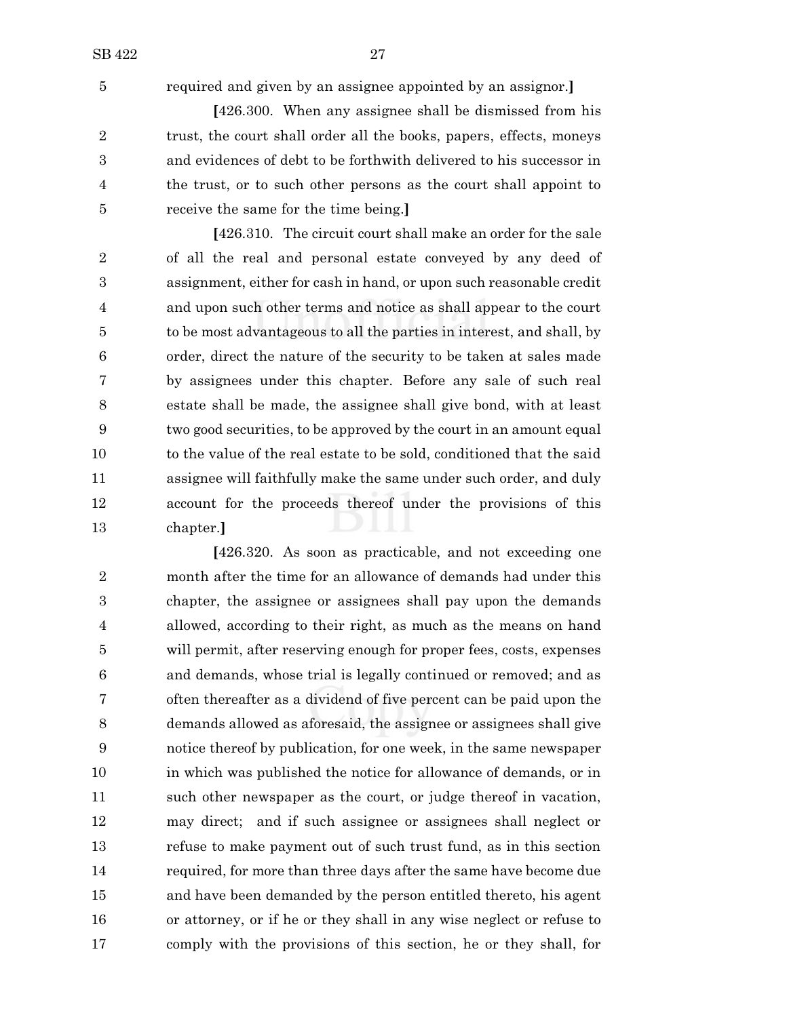required and given by an assignee appointed by an assignor.**]**

**[**426.300. When any assignee shall be dismissed from his 2 trust, the court shall order all the books, papers, effects, moneys and evidences of debt to be forthwith delivered to his successor in the trust, or to such other persons as the court shall appoint to receive the same for the time being.**]**

**[**426.310. The circuit court shall make an order for the sale of all the real and personal estate conveyed by any deed of assignment, either for cash in hand, or upon such reasonable credit and upon such other terms and notice as shall appear to the court to be most advantageous to all the parties in interest, and shall, by order, direct the nature of the security to be taken at sales made by assignees under this chapter. Before any sale of such real estate shall be made, the assignee shall give bond, with at least two good securities, to be approved by the court in an amount equal 10 to the value of the real estate to be sold, conditioned that the said assignee will faithfully make the same under such order, and duly account for the proceeds thereof under the provisions of this chapter.**]**

**[**426.320. As soon as practicable, and not exceeding one month after the time for an allowance of demands had under this chapter, the assignee or assignees shall pay upon the demands allowed, according to their right, as much as the means on hand will permit, after reserving enough for proper fees, costs, expenses and demands, whose trial is legally continued or removed; and as often thereafter as a dividend of five percent can be paid upon the demands allowed as aforesaid, the assignee or assignees shall give notice thereof by publication, for one week, in the same newspaper in which was published the notice for allowance of demands, or in such other newspaper as the court, or judge thereof in vacation, may direct; and if such assignee or assignees shall neglect or refuse to make payment out of such trust fund, as in this section required, for more than three days after the same have become due and have been demanded by the person entitled thereto, his agent or attorney, or if he or they shall in any wise neglect or refuse to comply with the provisions of this section, he or they shall, for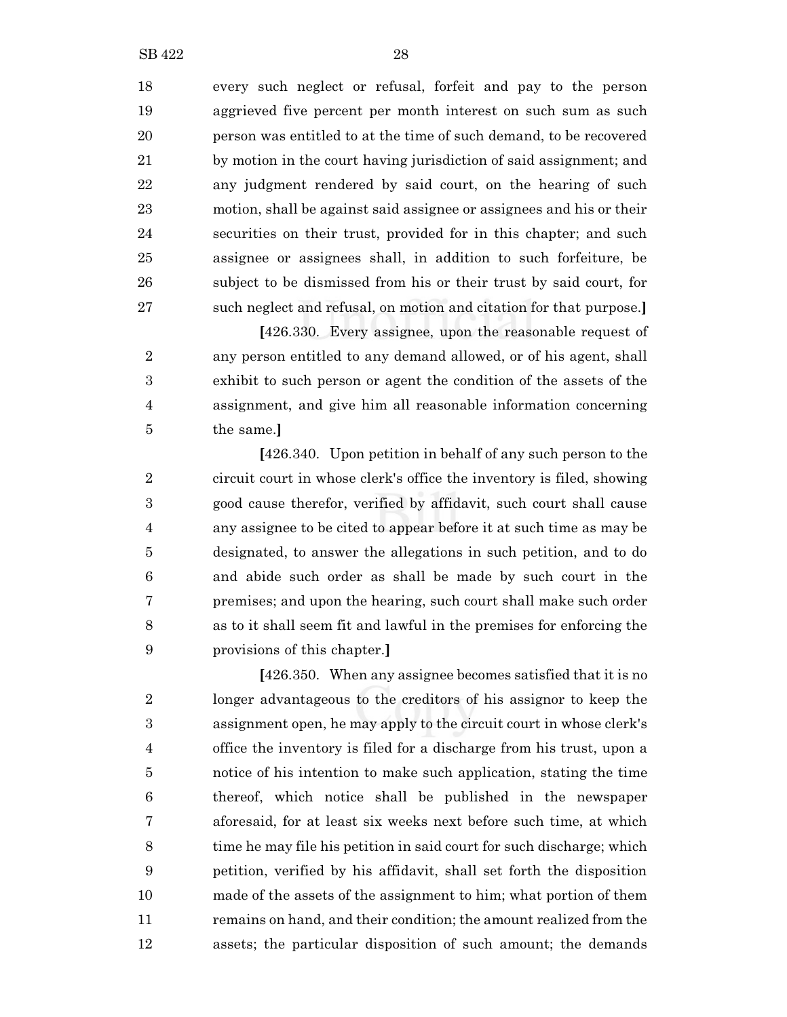every such neglect or refusal, forfeit and pay to the person aggrieved five percent per month interest on such sum as such person was entitled to at the time of such demand, to be recovered by motion in the court having jurisdiction of said assignment; and any judgment rendered by said court, on the hearing of such motion, shall be against said assignee or assignees and his or their securities on their trust, provided for in this chapter; and such assignee or assignees shall, in addition to such forfeiture, be subject to be dismissed from his or their trust by said court, for such neglect and refusal, on motion and citation for that purpose.**]**

**[**426.330. Every assignee, upon the reasonable request of any person entitled to any demand allowed, or of his agent, shall exhibit to such person or agent the condition of the assets of the assignment, and give him all reasonable information concerning the same.**]**

**[**426.340. Upon petition in behalf of any such person to the circuit court in whose clerk's office the inventory is filed, showing good cause therefor, verified by affidavit, such court shall cause any assignee to be cited to appear before it at such time as may be designated, to answer the allegations in such petition, and to do and abide such order as shall be made by such court in the premises; and upon the hearing, such court shall make such order as to it shall seem fit and lawful in the premises for enforcing the provisions of this chapter.**]**

**[**426.350. When any assignee becomes satisfied that it is no longer advantageous to the creditors of his assignor to keep the assignment open, he may apply to the circuit court in whose clerk's office the inventory is filed for a discharge from his trust, upon a notice of his intention to make such application, stating the time thereof, which notice shall be published in the newspaper aforesaid, for at least six weeks next before such time, at which time he may file his petition in said court for such discharge; which petition, verified by his affidavit, shall set forth the disposition made of the assets of the assignment to him; what portion of them remains on hand, and their condition; the amount realized from the assets; the particular disposition of such amount; the demands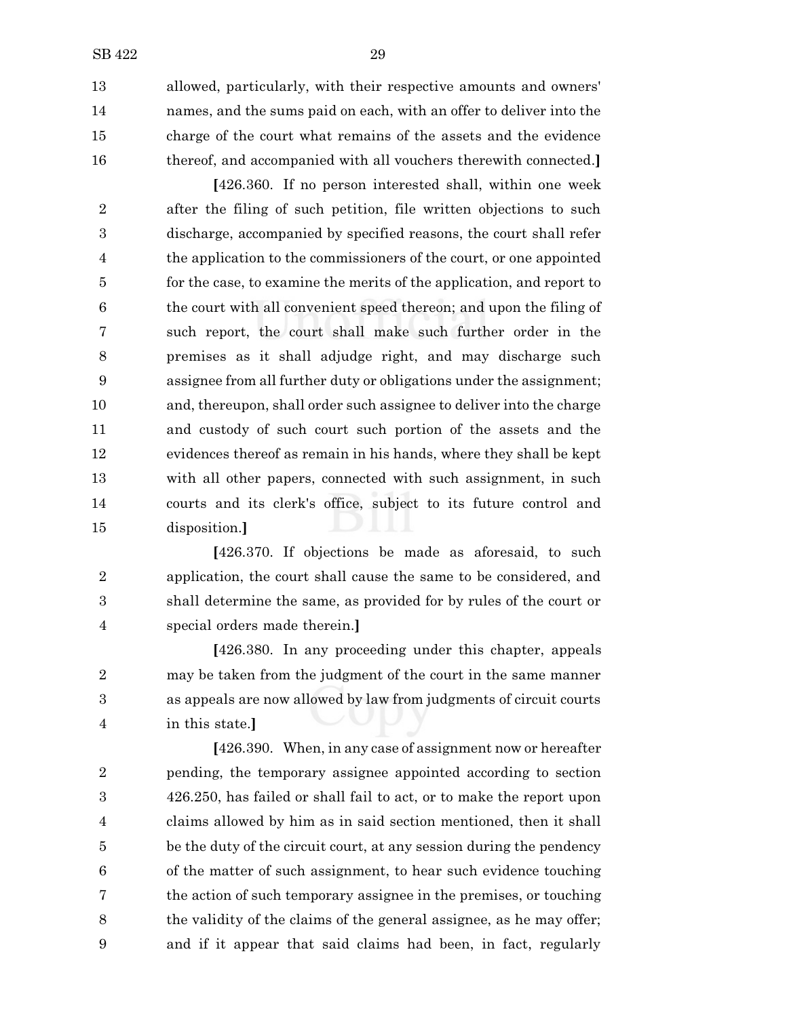allowed, particularly, with their respective amounts and owners' names, and the sums paid on each, with an offer to deliver into the charge of the court what remains of the assets and the evidence thereof, and accompanied with all vouchers therewith connected.**]**

**[**426.360. If no person interested shall, within one week after the filing of such petition, file written objections to such discharge, accompanied by specified reasons, the court shall refer the application to the commissioners of the court, or one appointed for the case, to examine the merits of the application, and report to the court with all convenient speed thereon; and upon the filing of such report, the court shall make such further order in the premises as it shall adjudge right, and may discharge such assignee from all further duty or obligations under the assignment; and, thereupon, shall order such assignee to deliver into the charge and custody of such court such portion of the assets and the evidences thereof as remain in his hands, where they shall be kept with all other papers, connected with such assignment, in such courts and its clerk's office, subject to its future control and disposition.**]**

**[**426.370. If objections be made as aforesaid, to such application, the court shall cause the same to be considered, and shall determine the same, as provided for by rules of the court or special orders made therein.**]**

**[**426.380. In any proceeding under this chapter, appeals may be taken from the judgment of the court in the same manner as appeals are now allowed by law from judgments of circuit courts in this state.**]**

**[**426.390. When, in any case of assignment now or hereafter pending, the temporary assignee appointed according to section 426.250, has failed or shall fail to act, or to make the report upon claims allowed by him as in said section mentioned, then it shall be the duty of the circuit court, at any session during the pendency of the matter of such assignment, to hear such evidence touching the action of such temporary assignee in the premises, or touching the validity of the claims of the general assignee, as he may offer; and if it appear that said claims had been, in fact, regularly